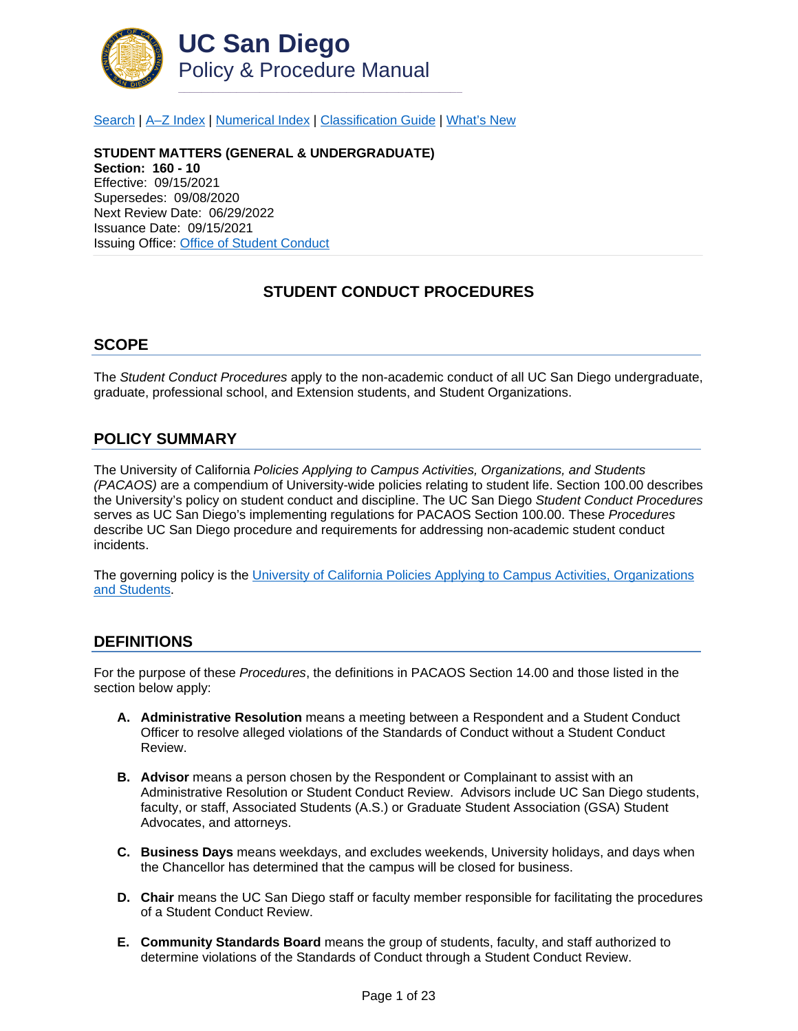

[Search](http://adminrecords.ucsd.edu/ppm/index.html) | [A–Z Index](http://adminrecords.ucsd.edu/ppm/ppmindex.html) | [Numerical Index](http://adminrecords.ucsd.edu/ppm/numerical.html) | [Classification Guide](http://adminrecords.ucsd.edu/ppm/alphabetical.html) | [What's New](http://adminrecords.ucsd.edu/ppm/whatsnew.html)

**STUDENT MATTERS (GENERAL & UNDERGRADUATE) Section: 160 - 10** Effective: 09/15/2021 Supersedes: 09/08/2020 Next Review Date: 06/29/2022 Issuance Date: 09/15/2021 Issuing Office: [Office of Student Conduct](http://students.ucsd.edu/sponsor/student-conduct/)

## **STUDENT CONDUCT PROCEDURES**

#### **SCOPE**

The *Student Conduct Procedures* apply to the non-academic conduct of all UC San Diego undergraduate, graduate, professional school, and Extension students, and Student Organizations.

#### **POLICY SUMMARY**

The University of California *Policies Applying to Campus Activities, Organizations, and Students (PACAOS)* are a compendium of University-wide policies relating to student life. Section 100.00 describes the University's policy on student conduct and discipline. The UC San Diego *Student Conduct Procedures*  serves as UC San Diego's implementing regulations for PACAOS Section 100.00. These *Procedures* describe UC San Diego procedure and requirements for addressing non-academic student conduct incidents.

The governing policy is the [University of California Policies Applying to Campus Activities, Organizations](https://policy.ucop.edu/doc/2710530/PACAOS-100)  [and Students.](https://policy.ucop.edu/doc/2710530/PACAOS-100)

### **DEFINITIONS**

For the purpose of these *Procedures*, the definitions in PACAOS Section 14.00 and those listed in the section below apply:

- **A. Administrative Resolution** means a meeting between a Respondent and a Student Conduct Officer to resolve alleged violations of the Standards of Conduct without a Student Conduct Review.
- **B. Advisor** means a person chosen by the Respondent or Complainant to assist with an Administrative Resolution or Student Conduct Review. Advisors include UC San Diego students, faculty, or staff, Associated Students (A.S.) or Graduate Student Association (GSA) Student Advocates, and attorneys.
- **C. Business Days** means weekdays, and excludes weekends, University holidays, and days when the Chancellor has determined that the campus will be closed for business.
- **D. Chair** means the UC San Diego staff or faculty member responsible for facilitating the procedures of a Student Conduct Review.
- **E. Community Standards Board** means the group of students, faculty, and staff authorized to determine violations of the Standards of Conduct through a Student Conduct Review.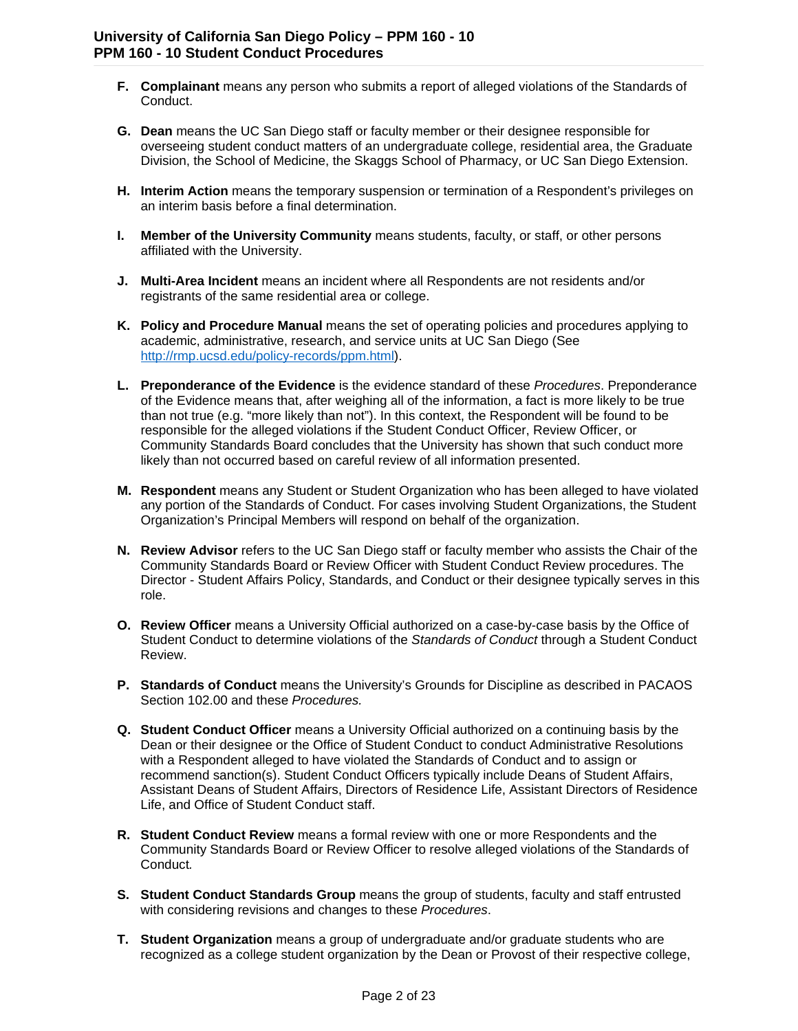- **F. Complainant** means any person who submits a report of alleged violations of the Standards of Conduct.
- **G. Dean** means the UC San Diego staff or faculty member or their designee responsible for overseeing student conduct matters of an undergraduate college, residential area, the Graduate Division, the School of Medicine, the Skaggs School of Pharmacy, or UC San Diego Extension.
- **H. Interim Action** means the temporary suspension or termination of a Respondent's privileges on an interim basis before a final determination.
- **I. Member of the University Community** means students, faculty, or staff, or other persons affiliated with the University.
- **J. Multi-Area Incident** means an incident where all Respondents are not residents and/or registrants of the same residential area or college.
- **K. Policy and Procedure Manual** means the set of operating policies and procedures applying to academic, administrative, research, and service units at UC San Diego (See [http://rmp.ucsd.edu/policy-records/ppm.html\)](http://rmp.ucsd.edu/policy-records/ppm.html).
- **L. Preponderance of the Evidence** is the evidence standard of these *Procedures*. Preponderance of the Evidence means that, after weighing all of the information, a fact is more likely to be true than not true (e.g. "more likely than not"). In this context, the Respondent will be found to be responsible for the alleged violations if the Student Conduct Officer, Review Officer, or Community Standards Board concludes that the University has shown that such conduct more likely than not occurred based on careful review of all information presented.
- **M. Respondent** means any Student or Student Organization who has been alleged to have violated any portion of the Standards of Conduct. For cases involving Student Organizations, the Student Organization's Principal Members will respond on behalf of the organization.
- **N. Review Advisor** refers to the UC San Diego staff or faculty member who assists the Chair of the Community Standards Board or Review Officer with Student Conduct Review procedures. The Director - Student Affairs Policy, Standards, and Conduct or their designee typically serves in this role.
- **O. Review Officer** means a University Official authorized on a case-by-case basis by the Office of Student Conduct to determine violations of the *Standards of Conduct* through a Student Conduct Review.
- **P. Standards of Conduct** means the University's Grounds for Discipline as described in PACAOS Section 102.00 and these *Procedures.*
- **Q. Student Conduct Officer** means a University Official authorized on a continuing basis by the Dean or their designee or the Office of Student Conduct to conduct Administrative Resolutions with a Respondent alleged to have violated the Standards of Conduct and to assign or recommend sanction(s). Student Conduct Officers typically include Deans of Student Affairs, Assistant Deans of Student Affairs, Directors of Residence Life, Assistant Directors of Residence Life, and Office of Student Conduct staff.
- **R. Student Conduct Review** means a formal review with one or more Respondents and the Community Standards Board or Review Officer to resolve alleged violations of the Standards of Conduct*.*
- **S. Student Conduct Standards Group** means the group of students, faculty and staff entrusted with considering revisions and changes to these *Procedures*.
- **T. Student Organization** means a group of undergraduate and/or graduate students who are recognized as a college student organization by the Dean or Provost of their respective college,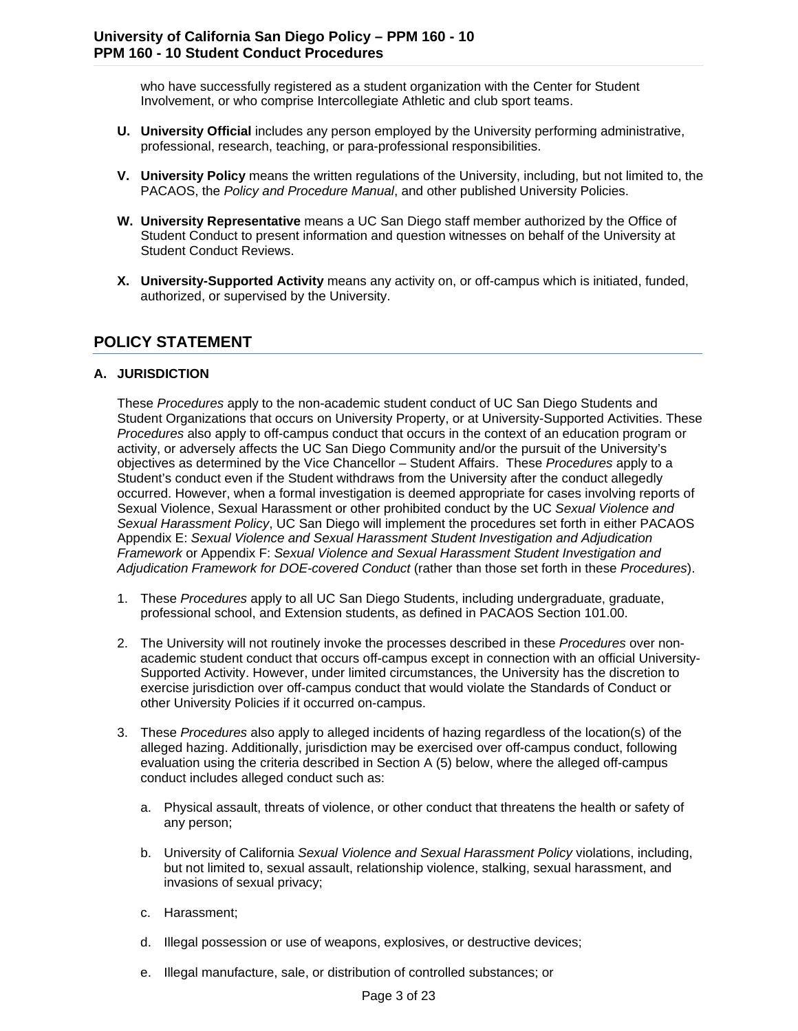who have successfully registered as a student organization with the Center for Student Involvement, or who comprise Intercollegiate Athletic and club sport teams.

- **U. University Official** includes any person employed by the University performing administrative, professional, research, teaching, or para-professional responsibilities.
- **V. University Policy** means the written regulations of the University, including, but not limited to, the PACAOS, the *Policy and Procedure Manual*, and other published University Policies.
- **W. University Representative** means a UC San Diego staff member authorized by the Office of Student Conduct to present information and question witnesses on behalf of the University at Student Conduct Reviews.
- **X. University-Supported Activity** means any activity on, or off-campus which is initiated, funded, authorized, or supervised by the University.

## **POLICY STATEMENT**

#### **A. JURISDICTION**

These *Procedures* apply to the non-academic student conduct of UC San Diego Students and Student Organizations that occurs on University Property, or at University-Supported Activities. These *Procedures* also apply to off-campus conduct that occurs in the context of an education program or activity, or adversely affects the UC San Diego Community and/or the pursuit of the University's objectives as determined by the Vice Chancellor – Student Affairs. These *Procedures* apply to a Student's conduct even if the Student withdraws from the University after the conduct allegedly occurred. However, when a formal investigation is deemed appropriate for cases involving reports of Sexual Violence, Sexual Harassment or other prohibited conduct by the UC *Sexual Violence and Sexual Harassment Policy*, UC San Diego will implement the procedures set forth in either PACAOS Appendix E: *Sexual Violence and Sexual Harassment Student Investigation and Adjudication Framework* or Appendix F: *Sexual Violence and Sexual Harassment Student Investigation and Adjudication Framework for DOE-covered Conduct* (rather than those set forth in these *Procedures*).

- 1. These *Procedures* apply to all UC San Diego Students, including undergraduate, graduate, professional school, and Extension students, as defined in PACAOS Section 101.00.
- 2. The University will not routinely invoke the processes described in these *Procedures* over nonacademic student conduct that occurs off-campus except in connection with an official University-Supported Activity. However, under limited circumstances, the University has the discretion to exercise jurisdiction over off-campus conduct that would violate the Standards of Conduct or other University Policies if it occurred on-campus.
- 3. These *Procedures* also apply to alleged incidents of hazing regardless of the location(s) of the alleged hazing. Additionally, jurisdiction may be exercised over off-campus conduct, following evaluation using the criteria described in Section A (5) below, where the alleged off-campus conduct includes alleged conduct such as:
	- a. Physical assault, threats of violence, or other conduct that threatens the health or safety of any person;
	- b. University of California *Sexual Violence and Sexual Harassment Policy* violations, including, but not limited to, sexual assault, relationship violence, stalking, sexual harassment, and invasions of sexual privacy;
	- c. Harassment;
	- d. Illegal possession or use of weapons, explosives, or destructive devices;
	- e. Illegal manufacture, sale, or distribution of controlled substances; or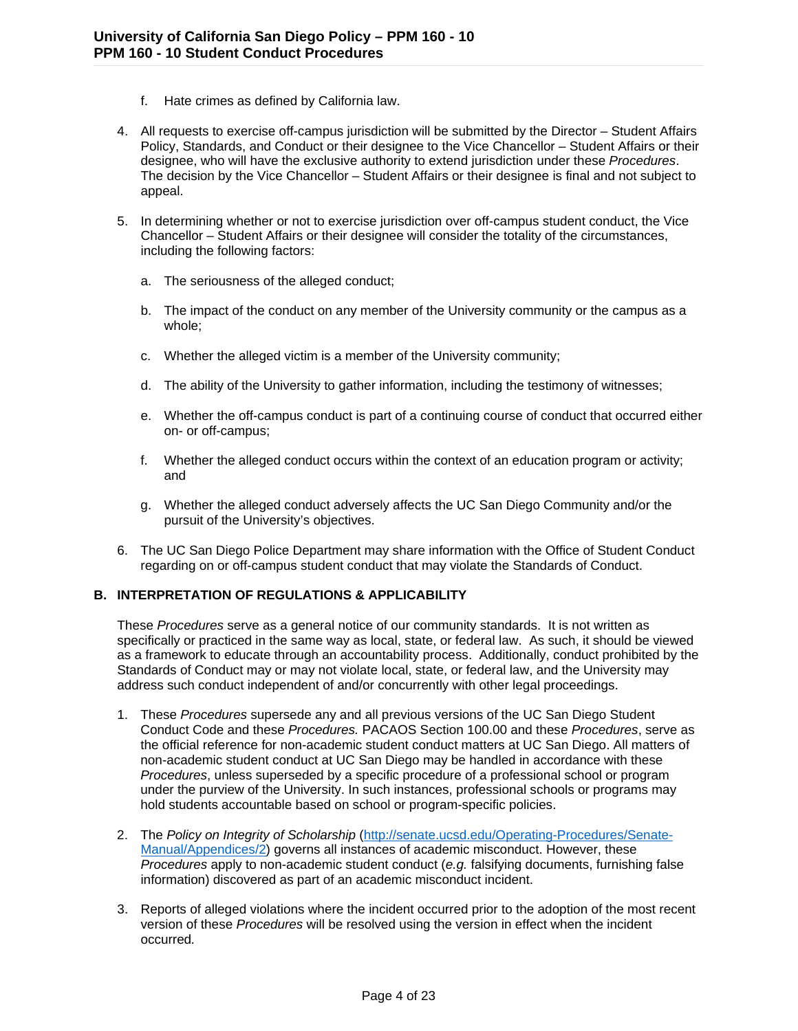- f. Hate crimes as defined by California law.
- 4. All requests to exercise off-campus jurisdiction will be submitted by the Director Student Affairs Policy, Standards, and Conduct or their designee to the Vice Chancellor – Student Affairs or their designee, who will have the exclusive authority to extend jurisdiction under these *Procedures*. The decision by the Vice Chancellor – Student Affairs or their designee is final and not subject to appeal.
- 5. In determining whether or not to exercise jurisdiction over off-campus student conduct, the Vice Chancellor – Student Affairs or their designee will consider the totality of the circumstances, including the following factors:
	- a. The seriousness of the alleged conduct;
	- b. The impact of the conduct on any member of the University community or the campus as a whole;
	- c. Whether the alleged victim is a member of the University community;
	- d. The ability of the University to gather information, including the testimony of witnesses;
	- e. Whether the off-campus conduct is part of a continuing course of conduct that occurred either on- or off-campus;
	- f. Whether the alleged conduct occurs within the context of an education program or activity; and
	- g. Whether the alleged conduct adversely affects the UC San Diego Community and/or the pursuit of the University's objectives.
- 6. The UC San Diego Police Department may share information with the Office of Student Conduct regarding on or off-campus student conduct that may violate the Standards of Conduct.

#### **B. INTERPRETATION OF REGULATIONS & APPLICABILITY**

These *Procedures* serve as a general notice of our community standards. It is not written as specifically or practiced in the same way as local, state, or federal law. As such, it should be viewed as a framework to educate through an accountability process. Additionally, conduct prohibited by the Standards of Conduct may or may not violate local, state, or federal law, and the University may address such conduct independent of and/or concurrently with other legal proceedings.

- 1. These *Procedures* supersede any and all previous versions of the UC San Diego Student Conduct Code and these *Procedures.* PACAOS Section 100.00 and these *Procedures*, serve as the official reference for non-academic student conduct matters at UC San Diego. All matters of non-academic student conduct at UC San Diego may be handled in accordance with these *Procedures*, unless superseded by a specific procedure of a professional school or program under the purview of the University. In such instances, professional schools or programs may hold students accountable based on school or program-specific policies.
- 2. The *Policy on Integrity of Scholarship* [\(http://senate.ucsd.edu/Operating-Procedures/Senate-](http://senate.ucsd.edu/Operating-Procedures/Senate-Manual/Appendices/2)[Manual/Appendices/2\)](http://senate.ucsd.edu/Operating-Procedures/Senate-Manual/Appendices/2) governs all instances of academic misconduct. However, these *Procedures* apply to non-academic student conduct (*e.g.* falsifying documents, furnishing false information) discovered as part of an academic misconduct incident.
- 3. Reports of alleged violations where the incident occurred prior to the adoption of the most recent version of these *Procedures* will be resolved using the version in effect when the incident occurred*.*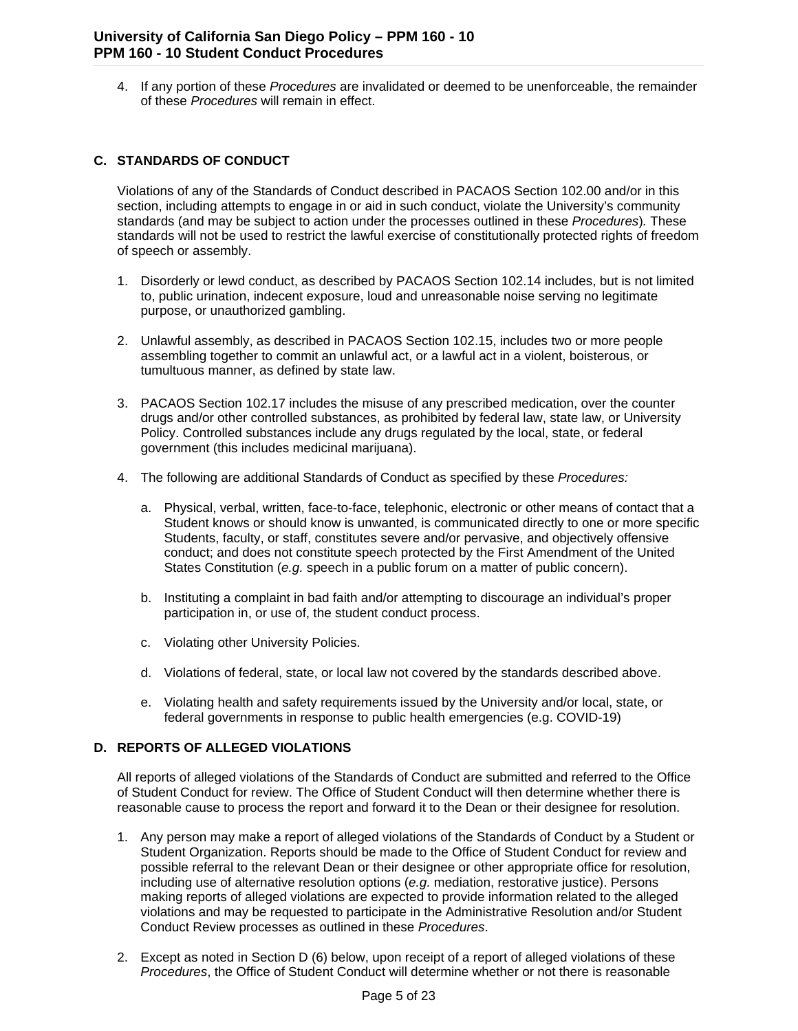4. If any portion of these *Procedures* are invalidated or deemed to be unenforceable, the remainder of these *Procedures* will remain in effect.

#### **C. STANDARDS OF CONDUCT**

Violations of any of the Standards of Conduct described in PACAOS Section 102.00 and/or in this section, including attempts to engage in or aid in such conduct, violate the University's community standards (and may be subject to action under the processes outlined in these *Procedures*)*.* These standards will not be used to restrict the lawful exercise of constitutionally protected rights of freedom of speech or assembly.

- 1. Disorderly or lewd conduct, as described by PACAOS Section 102.14 includes, but is not limited to, public urination, indecent exposure, loud and unreasonable noise serving no legitimate purpose, or unauthorized gambling.
- 2. Unlawful assembly, as described in PACAOS Section 102.15, includes two or more people assembling together to commit an unlawful act, or a lawful act in a violent, boisterous, or tumultuous manner, as defined by state law.
- 3. PACAOS Section 102.17 includes the misuse of any prescribed medication, over the counter drugs and/or other controlled substances, as prohibited by federal law, state law, or University Policy. Controlled substances include any drugs regulated by the local, state, or federal government (this includes medicinal marijuana).
- 4. The following are additional Standards of Conduct as specified by these *Procedures:* 
	- a. Physical, verbal, written, face-to-face, telephonic, electronic or other means of contact that a Student knows or should know is unwanted, is communicated directly to one or more specific Students, faculty, or staff, constitutes severe and/or pervasive, and objectively offensive conduct; and does not constitute speech protected by the First Amendment of the United States Constitution (*e.g.* speech in a public forum on a matter of public concern).
	- b. Instituting a complaint in bad faith and/or attempting to discourage an individual's proper participation in, or use of, the student conduct process.
	- c. Violating other University Policies.
	- d. Violations of federal, state, or local law not covered by the standards described above.
	- e. Violating health and safety requirements issued by the University and/or local, state, or federal governments in response to public health emergencies (e.g. COVID-19)

#### **D. REPORTS OF ALLEGED VIOLATIONS**

All reports of alleged violations of the Standards of Conduct are submitted and referred to the Office of Student Conduct for review. The Office of Student Conduct will then determine whether there is reasonable cause to process the report and forward it to the Dean or their designee for resolution.

- 1. Any person may make a report of alleged violations of the Standards of Conduct by a Student or Student Organization. Reports should be made to the Office of Student Conduct for review and possible referral to the relevant Dean or their designee or other appropriate office for resolution, including use of alternative resolution options (*e.g.* mediation, restorative justice). Persons making reports of alleged violations are expected to provide information related to the alleged violations and may be requested to participate in the Administrative Resolution and/or Student Conduct Review processes as outlined in these *Procedures*.
- 2. Except as noted in Section D (6) below, upon receipt of a report of alleged violations of these *Procedures*, the Office of Student Conduct will determine whether or not there is reasonable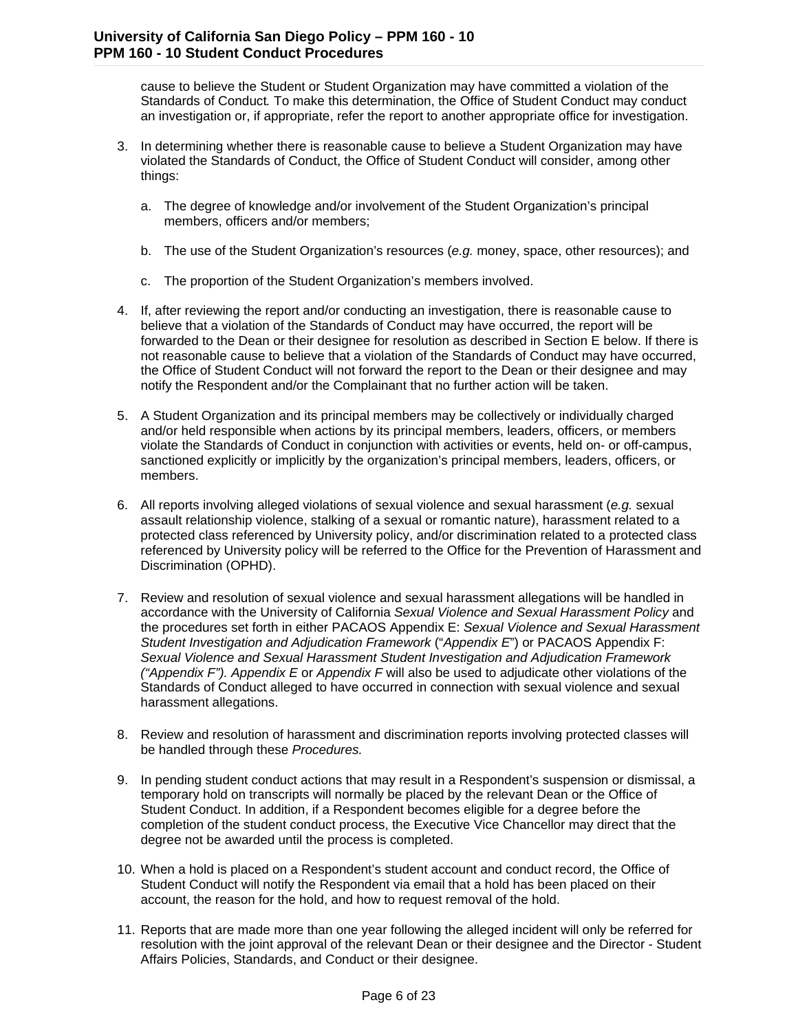cause to believe the Student or Student Organization may have committed a violation of the Standards of Conduct*.* To make this determination, the Office of Student Conduct may conduct an investigation or, if appropriate, refer the report to another appropriate office for investigation.

- 3. In determining whether there is reasonable cause to believe a Student Organization may have violated the Standards of Conduct, the Office of Student Conduct will consider, among other things:
	- a. The degree of knowledge and/or involvement of the Student Organization's principal members, officers and/or members;
	- b. The use of the Student Organization's resources (*e.g.* money, space, other resources); and
	- c. The proportion of the Student Organization's members involved.
- 4. If, after reviewing the report and/or conducting an investigation, there is reasonable cause to believe that a violation of the Standards of Conduct may have occurred, the report will be forwarded to the Dean or their designee for resolution as described in Section E below. If there is not reasonable cause to believe that a violation of the Standards of Conduct may have occurred, the Office of Student Conduct will not forward the report to the Dean or their designee and may notify the Respondent and/or the Complainant that no further action will be taken.
- 5. A Student Organization and its principal members may be collectively or individually charged and/or held responsible when actions by its principal members, leaders, officers, or members violate the Standards of Conduct in conjunction with activities or events, held on- or off-campus, sanctioned explicitly or implicitly by the organization's principal members, leaders, officers, or members.
- 6. All reports involving alleged violations of sexual violence and sexual harassment (*e.g.* sexual assault relationship violence, stalking of a sexual or romantic nature), harassment related to a protected class referenced by University policy, and/or discrimination related to a protected class referenced by University policy will be referred to the Office for the Prevention of Harassment and Discrimination (OPHD).
- 7. Review and resolution of sexual violence and sexual harassment allegations will be handled in accordance with the University of California *Sexual Violence and Sexual Harassment Policy* and the procedures set forth in either PACAOS Appendix E: *Sexual Violence and Sexual Harassment Student Investigation and Adjudication Framework* ("*Appendix E*") or PACAOS Appendix F: *Sexual Violence and Sexual Harassment Student Investigation and Adjudication Framework ("Appendix F"). Appendix E* or *Appendix F* will also be used to adjudicate other violations of the Standards of Conduct alleged to have occurred in connection with sexual violence and sexual harassment allegations.
- 8. Review and resolution of harassment and discrimination reports involving protected classes will be handled through these *Procedures.*
- 9. In pending student conduct actions that may result in a Respondent's suspension or dismissal, a temporary hold on transcripts will normally be placed by the relevant Dean or the Office of Student Conduct. In addition, if a Respondent becomes eligible for a degree before the completion of the student conduct process, the Executive Vice Chancellor may direct that the degree not be awarded until the process is completed.
- 10. When a hold is placed on a Respondent's student account and conduct record, the Office of Student Conduct will notify the Respondent via email that a hold has been placed on their account, the reason for the hold, and how to request removal of the hold.
- 11. Reports that are made more than one year following the alleged incident will only be referred for resolution with the joint approval of the relevant Dean or their designee and the Director - Student Affairs Policies, Standards, and Conduct or their designee.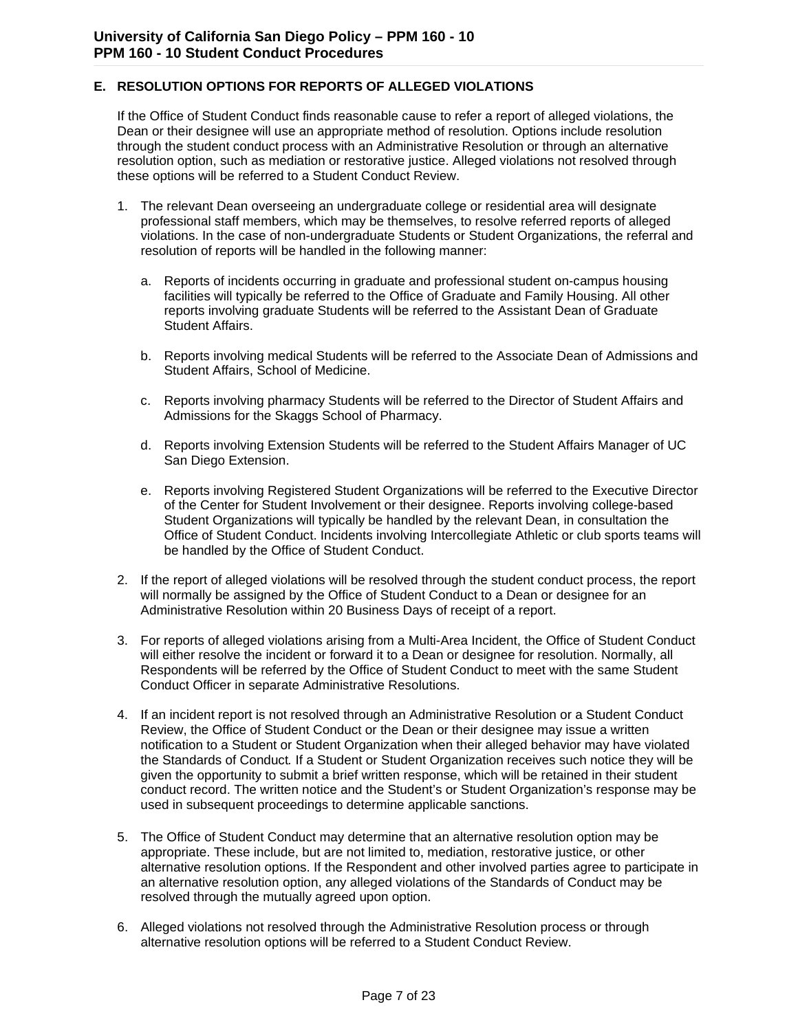#### **E. RESOLUTION OPTIONS FOR REPORTS OF ALLEGED VIOLATIONS**

If the Office of Student Conduct finds reasonable cause to refer a report of alleged violations, the Dean or their designee will use an appropriate method of resolution. Options include resolution through the student conduct process with an Administrative Resolution or through an alternative resolution option, such as mediation or restorative justice. Alleged violations not resolved through these options will be referred to a Student Conduct Review.

- 1. The relevant Dean overseeing an undergraduate college or residential area will designate professional staff members, which may be themselves, to resolve referred reports of alleged violations. In the case of non-undergraduate Students or Student Organizations, the referral and resolution of reports will be handled in the following manner:
	- a. Reports of incidents occurring in graduate and professional student on-campus housing facilities will typically be referred to the Office of Graduate and Family Housing. All other reports involving graduate Students will be referred to the Assistant Dean of Graduate Student Affairs.
	- b. Reports involving medical Students will be referred to the Associate Dean of Admissions and Student Affairs, School of Medicine.
	- c. Reports involving pharmacy Students will be referred to the Director of Student Affairs and Admissions for the Skaggs School of Pharmacy.
	- d. Reports involving Extension Students will be referred to the Student Affairs Manager of UC San Diego Extension.
	- e. Reports involving Registered Student Organizations will be referred to the Executive Director of the Center for Student Involvement or their designee. Reports involving college-based Student Organizations will typically be handled by the relevant Dean, in consultation the Office of Student Conduct. Incidents involving Intercollegiate Athletic or club sports teams will be handled by the Office of Student Conduct.
- 2. If the report of alleged violations will be resolved through the student conduct process, the report will normally be assigned by the Office of Student Conduct to a Dean or designee for an Administrative Resolution within 20 Business Days of receipt of a report.
- 3. For reports of alleged violations arising from a Multi-Area Incident, the Office of Student Conduct will either resolve the incident or forward it to a Dean or designee for resolution. Normally, all Respondents will be referred by the Office of Student Conduct to meet with the same Student Conduct Officer in separate Administrative Resolutions.
- 4. If an incident report is not resolved through an Administrative Resolution or a Student Conduct Review, the Office of Student Conduct or the Dean or their designee may issue a written notification to a Student or Student Organization when their alleged behavior may have violated the Standards of Conduct*.* If a Student or Student Organization receives such notice they will be given the opportunity to submit a brief written response, which will be retained in their student conduct record. The written notice and the Student's or Student Organization's response may be used in subsequent proceedings to determine applicable sanctions.
- 5. The Office of Student Conduct may determine that an alternative resolution option may be appropriate. These include, but are not limited to, mediation, restorative justice, or other alternative resolution options. If the Respondent and other involved parties agree to participate in an alternative resolution option, any alleged violations of the Standards of Conduct may be resolved through the mutually agreed upon option.
- 6. Alleged violations not resolved through the Administrative Resolution process or through alternative resolution options will be referred to a Student Conduct Review.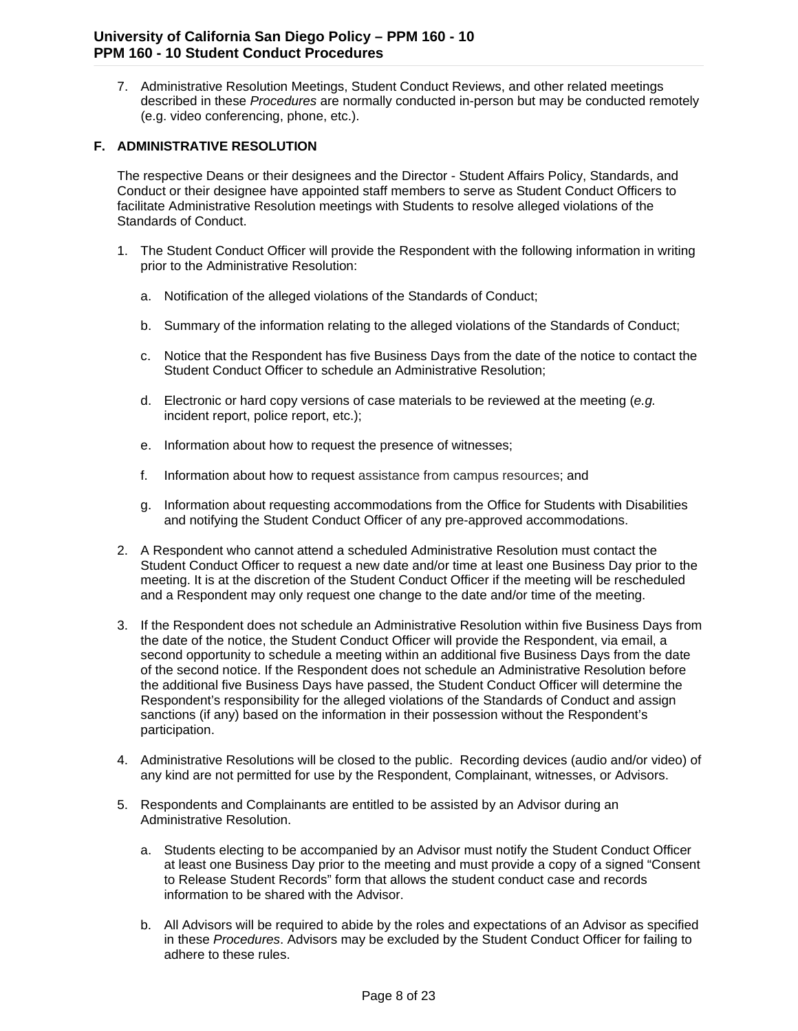7. Administrative Resolution Meetings, Student Conduct Reviews, and other related meetings described in these *Procedures* are normally conducted in-person but may be conducted remotely (e.g. video conferencing, phone, etc.).

#### **F. ADMINISTRATIVE RESOLUTION**

The respective Deans or their designees and the Director - Student Affairs Policy, Standards, and Conduct or their designee have appointed staff members to serve as Student Conduct Officers to facilitate Administrative Resolution meetings with Students to resolve alleged violations of the Standards of Conduct.

- 1. The Student Conduct Officer will provide the Respondent with the following information in writing prior to the Administrative Resolution:
	- a. Notification of the alleged violations of the Standards of Conduct;
	- b. Summary of the information relating to the alleged violations of the Standards of Conduct;
	- c. Notice that the Respondent has five Business Days from the date of the notice to contact the Student Conduct Officer to schedule an Administrative Resolution;
	- d. Electronic or hard copy versions of case materials to be reviewed at the meeting (*e.g.* incident report, police report, etc.);
	- e. Information about how to request the presence of witnesses;
	- f. Information about how to request assistance from campus resources; and
	- g. Information about requesting accommodations from the Office for Students with Disabilities and notifying the Student Conduct Officer of any pre-approved accommodations.
- 2. A Respondent who cannot attend a scheduled Administrative Resolution must contact the Student Conduct Officer to request a new date and/or time at least one Business Day prior to the meeting. It is at the discretion of the Student Conduct Officer if the meeting will be rescheduled and a Respondent may only request one change to the date and/or time of the meeting.
- 3. If the Respondent does not schedule an Administrative Resolution within five Business Days from the date of the notice, the Student Conduct Officer will provide the Respondent, via email, a second opportunity to schedule a meeting within an additional five Business Days from the date of the second notice. If the Respondent does not schedule an Administrative Resolution before the additional five Business Days have passed, the Student Conduct Officer will determine the Respondent's responsibility for the alleged violations of the Standards of Conduct and assign sanctions (if any) based on the information in their possession without the Respondent's participation.
- 4. Administrative Resolutions will be closed to the public. Recording devices (audio and/or video) of any kind are not permitted for use by the Respondent, Complainant, witnesses, or Advisors.
- 5. Respondents and Complainants are entitled to be assisted by an Advisor during an Administrative Resolution.
	- a. Students electing to be accompanied by an Advisor must notify the Student Conduct Officer at least one Business Day prior to the meeting and must provide a copy of a signed "Consent to Release Student Records" form that allows the student conduct case and records information to be shared with the Advisor.
	- b. All Advisors will be required to abide by the roles and expectations of an Advisor as specified in these *Procedures*. Advisors may be excluded by the Student Conduct Officer for failing to adhere to these rules.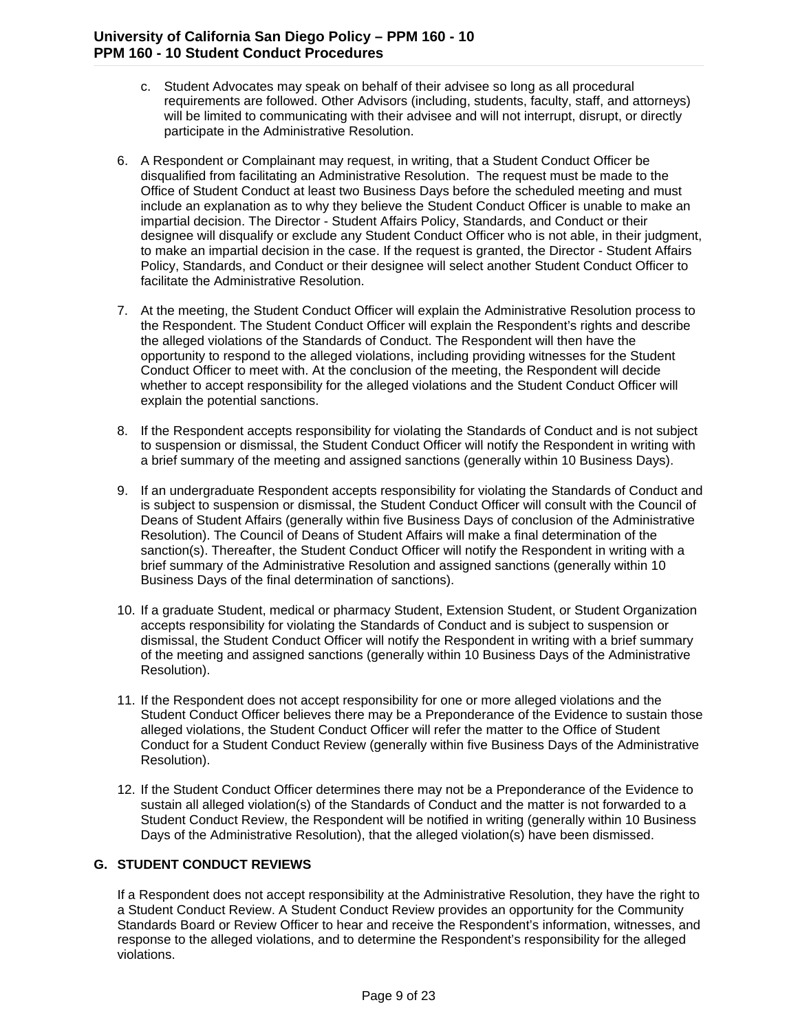- c. Student Advocates may speak on behalf of their advisee so long as all procedural requirements are followed. Other Advisors (including, students, faculty, staff, and attorneys) will be limited to communicating with their advisee and will not interrupt, disrupt, or directly participate in the Administrative Resolution.
- 6. A Respondent or Complainant may request, in writing, that a Student Conduct Officer be disqualified from facilitating an Administrative Resolution. The request must be made to the Office of Student Conduct at least two Business Days before the scheduled meeting and must include an explanation as to why they believe the Student Conduct Officer is unable to make an impartial decision. The Director - Student Affairs Policy, Standards, and Conduct or their designee will disqualify or exclude any Student Conduct Officer who is not able, in their judgment, to make an impartial decision in the case. If the request is granted, the Director - Student Affairs Policy, Standards, and Conduct or their designee will select another Student Conduct Officer to facilitate the Administrative Resolution.
- 7. At the meeting, the Student Conduct Officer will explain the Administrative Resolution process to the Respondent. The Student Conduct Officer will explain the Respondent's rights and describe the alleged violations of the Standards of Conduct. The Respondent will then have the opportunity to respond to the alleged violations, including providing witnesses for the Student Conduct Officer to meet with. At the conclusion of the meeting, the Respondent will decide whether to accept responsibility for the alleged violations and the Student Conduct Officer will explain the potential sanctions.
- 8. If the Respondent accepts responsibility for violating the Standards of Conduct and is not subject to suspension or dismissal, the Student Conduct Officer will notify the Respondent in writing with a brief summary of the meeting and assigned sanctions (generally within 10 Business Days).
- 9. If an undergraduate Respondent accepts responsibility for violating the Standards of Conduct and is subject to suspension or dismissal, the Student Conduct Officer will consult with the Council of Deans of Student Affairs (generally within five Business Days of conclusion of the Administrative Resolution). The Council of Deans of Student Affairs will make a final determination of the sanction(s). Thereafter, the Student Conduct Officer will notify the Respondent in writing with a brief summary of the Administrative Resolution and assigned sanctions (generally within 10 Business Days of the final determination of sanctions).
- 10. If a graduate Student, medical or pharmacy Student, Extension Student, or Student Organization accepts responsibility for violating the Standards of Conduct and is subject to suspension or dismissal, the Student Conduct Officer will notify the Respondent in writing with a brief summary of the meeting and assigned sanctions (generally within 10 Business Days of the Administrative Resolution).
- 11. If the Respondent does not accept responsibility for one or more alleged violations and the Student Conduct Officer believes there may be a Preponderance of the Evidence to sustain those alleged violations, the Student Conduct Officer will refer the matter to the Office of Student Conduct for a Student Conduct Review (generally within five Business Days of the Administrative Resolution).
- 12. If the Student Conduct Officer determines there may not be a Preponderance of the Evidence to sustain all alleged violation(s) of the Standards of Conduct and the matter is not forwarded to a Student Conduct Review, the Respondent will be notified in writing (generally within 10 Business Days of the Administrative Resolution), that the alleged violation(s) have been dismissed.

#### **G. STUDENT CONDUCT REVIEWS**

If a Respondent does not accept responsibility at the Administrative Resolution, they have the right to a Student Conduct Review. A Student Conduct Review provides an opportunity for the Community Standards Board or Review Officer to hear and receive the Respondent's information, witnesses, and response to the alleged violations, and to determine the Respondent's responsibility for the alleged violations.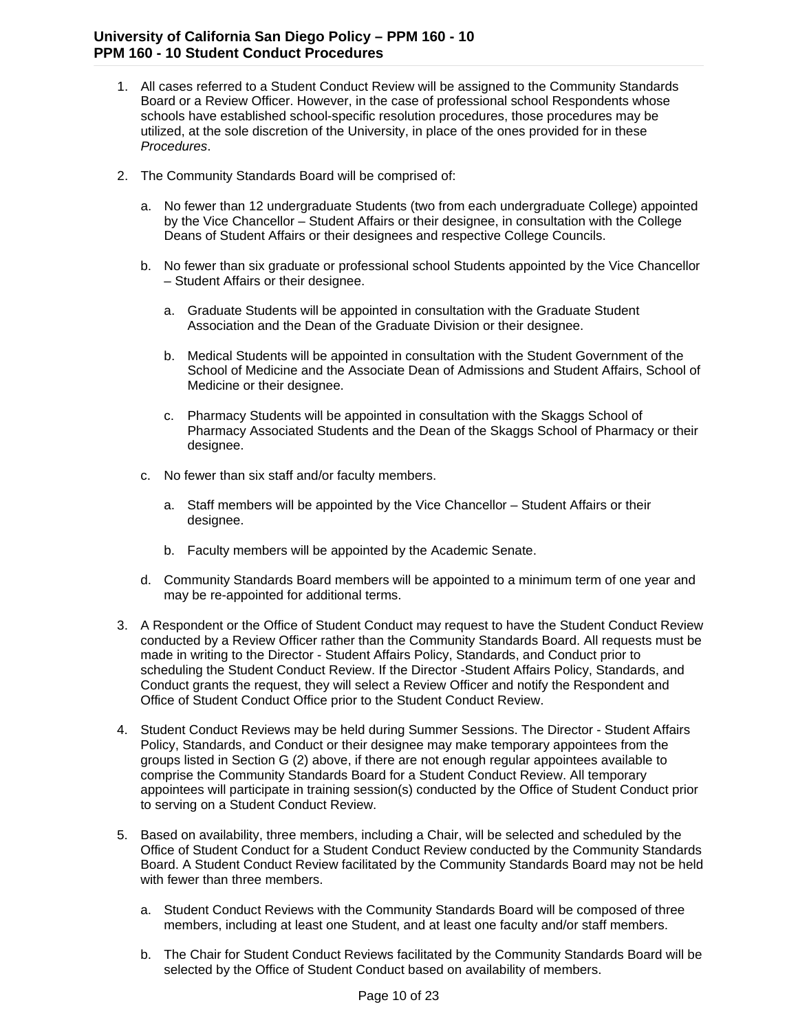- 1. All cases referred to a Student Conduct Review will be assigned to the Community Standards Board or a Review Officer. However, in the case of professional school Respondents whose schools have established school-specific resolution procedures, those procedures may be utilized, at the sole discretion of the University, in place of the ones provided for in these *Procedures*.
- 2. The Community Standards Board will be comprised of:
	- a. No fewer than 12 undergraduate Students (two from each undergraduate College) appointed by the Vice Chancellor – Student Affairs or their designee, in consultation with the College Deans of Student Affairs or their designees and respective College Councils.
	- b. No fewer than six graduate or professional school Students appointed by the Vice Chancellor – Student Affairs or their designee.
		- a. Graduate Students will be appointed in consultation with the Graduate Student Association and the Dean of the Graduate Division or their designee.
		- b. Medical Students will be appointed in consultation with the Student Government of the School of Medicine and the Associate Dean of Admissions and Student Affairs, School of Medicine or their designee.
		- c. Pharmacy Students will be appointed in consultation with the Skaggs School of Pharmacy Associated Students and the Dean of the Skaggs School of Pharmacy or their designee.
	- c. No fewer than six staff and/or faculty members.
		- a. Staff members will be appointed by the Vice Chancellor Student Affairs or their designee.
		- b. Faculty members will be appointed by the Academic Senate.
	- d. Community Standards Board members will be appointed to a minimum term of one year and may be re-appointed for additional terms.
- 3. A Respondent or the Office of Student Conduct may request to have the Student Conduct Review conducted by a Review Officer rather than the Community Standards Board. All requests must be made in writing to the Director - Student Affairs Policy, Standards, and Conduct prior to scheduling the Student Conduct Review. If the Director -Student Affairs Policy, Standards, and Conduct grants the request, they will select a Review Officer and notify the Respondent and Office of Student Conduct Office prior to the Student Conduct Review.
- 4. Student Conduct Reviews may be held during Summer Sessions. The Director Student Affairs Policy, Standards, and Conduct or their designee may make temporary appointees from the groups listed in Section G (2) above, if there are not enough regular appointees available to comprise the Community Standards Board for a Student Conduct Review. All temporary appointees will participate in training session(s) conducted by the Office of Student Conduct prior to serving on a Student Conduct Review.
- 5. Based on availability, three members, including a Chair, will be selected and scheduled by the Office of Student Conduct for a Student Conduct Review conducted by the Community Standards Board. A Student Conduct Review facilitated by the Community Standards Board may not be held with fewer than three members.
	- a. Student Conduct Reviews with the Community Standards Board will be composed of three members, including at least one Student, and at least one faculty and/or staff members.
	- b. The Chair for Student Conduct Reviews facilitated by the Community Standards Board will be selected by the Office of Student Conduct based on availability of members.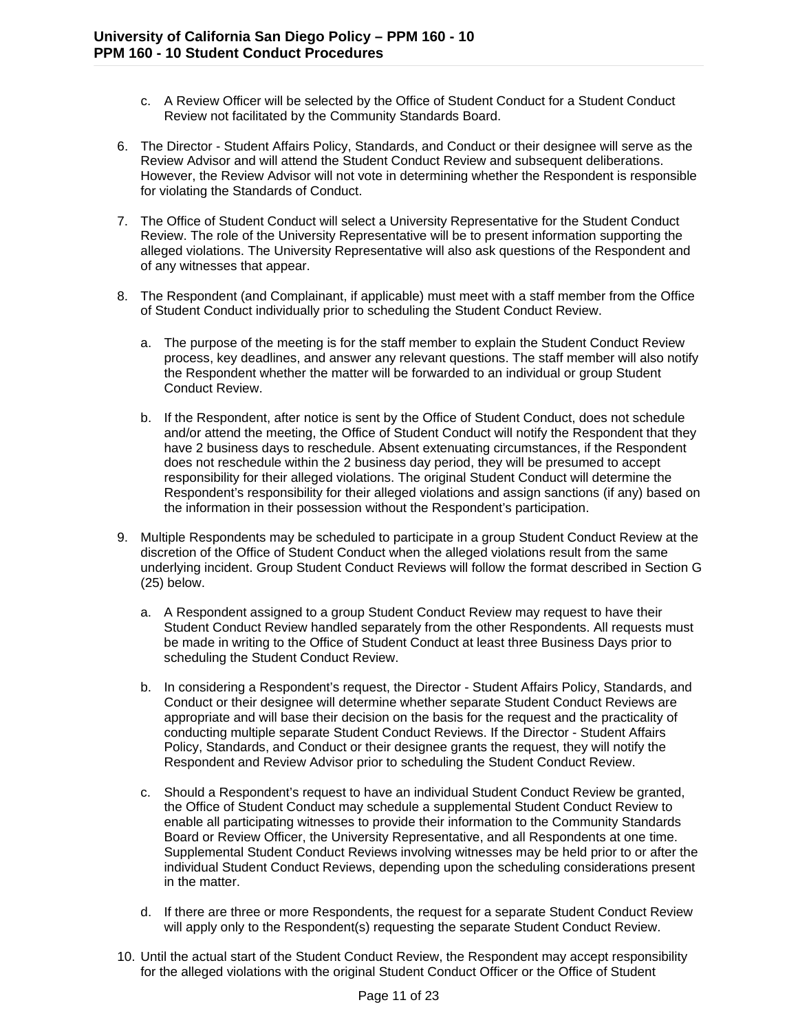- c. A Review Officer will be selected by the Office of Student Conduct for a Student Conduct Review not facilitated by the Community Standards Board.
- 6. The Director Student Affairs Policy, Standards, and Conduct or their designee will serve as the Review Advisor and will attend the Student Conduct Review and subsequent deliberations. However, the Review Advisor will not vote in determining whether the Respondent is responsible for violating the Standards of Conduct.
- 7. The Office of Student Conduct will select a University Representative for the Student Conduct Review. The role of the University Representative will be to present information supporting the alleged violations. The University Representative will also ask questions of the Respondent and of any witnesses that appear.
- 8. The Respondent (and Complainant, if applicable) must meet with a staff member from the Office of Student Conduct individually prior to scheduling the Student Conduct Review.
	- a. The purpose of the meeting is for the staff member to explain the Student Conduct Review process, key deadlines, and answer any relevant questions. The staff member will also notify the Respondent whether the matter will be forwarded to an individual or group Student Conduct Review.
	- b. If the Respondent, after notice is sent by the Office of Student Conduct, does not schedule and/or attend the meeting, the Office of Student Conduct will notify the Respondent that they have 2 business days to reschedule. Absent extenuating circumstances, if the Respondent does not reschedule within the 2 business day period, they will be presumed to accept responsibility for their alleged violations. The original Student Conduct will determine the Respondent's responsibility for their alleged violations and assign sanctions (if any) based on the information in their possession without the Respondent's participation.
- 9. Multiple Respondents may be scheduled to participate in a group Student Conduct Review at the discretion of the Office of Student Conduct when the alleged violations result from the same underlying incident. Group Student Conduct Reviews will follow the format described in Section G (25) below.
	- a. A Respondent assigned to a group Student Conduct Review may request to have their Student Conduct Review handled separately from the other Respondents. All requests must be made in writing to the Office of Student Conduct at least three Business Days prior to scheduling the Student Conduct Review.
	- b. In considering a Respondent's request, the Director Student Affairs Policy, Standards, and Conduct or their designee will determine whether separate Student Conduct Reviews are appropriate and will base their decision on the basis for the request and the practicality of conducting multiple separate Student Conduct Reviews. If the Director - Student Affairs Policy, Standards, and Conduct or their designee grants the request, they will notify the Respondent and Review Advisor prior to scheduling the Student Conduct Review.
	- c. Should a Respondent's request to have an individual Student Conduct Review be granted, the Office of Student Conduct may schedule a supplemental Student Conduct Review to enable all participating witnesses to provide their information to the Community Standards Board or Review Officer, the University Representative, and all Respondents at one time. Supplemental Student Conduct Reviews involving witnesses may be held prior to or after the individual Student Conduct Reviews, depending upon the scheduling considerations present in the matter.
	- d. If there are three or more Respondents, the request for a separate Student Conduct Review will apply only to the Respondent(s) requesting the separate Student Conduct Review.
- 10. Until the actual start of the Student Conduct Review, the Respondent may accept responsibility for the alleged violations with the original Student Conduct Officer or the Office of Student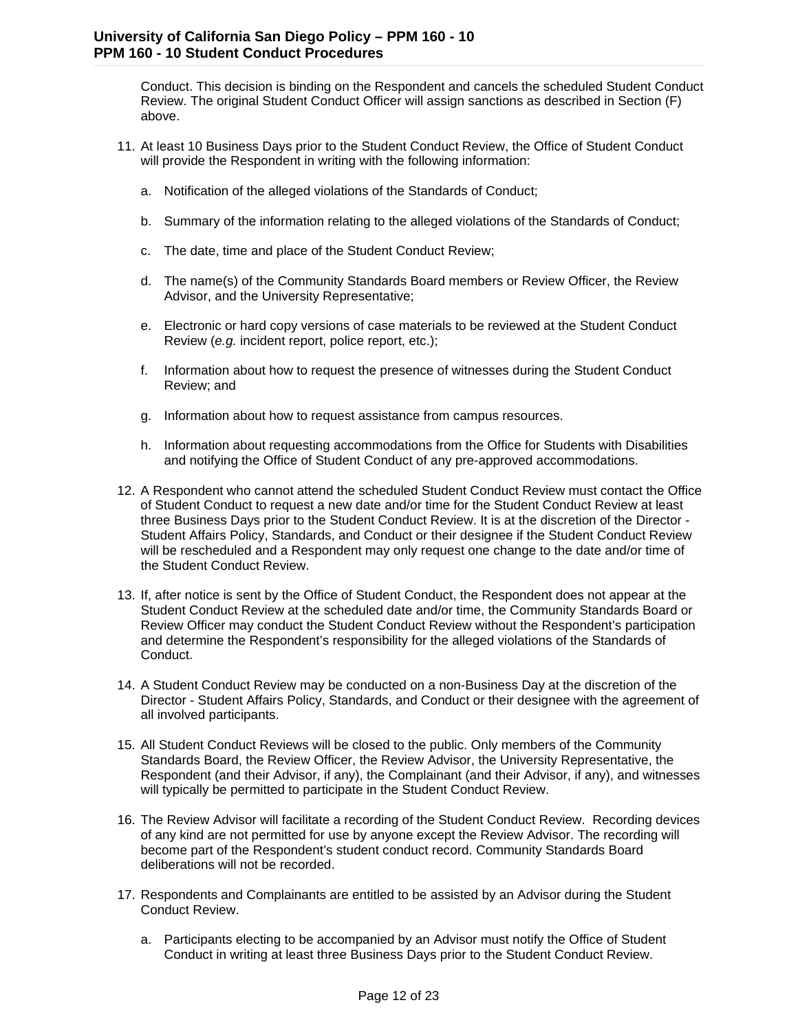Conduct. This decision is binding on the Respondent and cancels the scheduled Student Conduct Review. The original Student Conduct Officer will assign sanctions as described in Section (F) above.

- 11. At least 10 Business Days prior to the Student Conduct Review, the Office of Student Conduct will provide the Respondent in writing with the following information:
	- a. Notification of the alleged violations of the Standards of Conduct;
	- b. Summary of the information relating to the alleged violations of the Standards of Conduct;
	- c. The date, time and place of the Student Conduct Review;
	- d. The name(s) of the Community Standards Board members or Review Officer, the Review Advisor, and the University Representative;
	- e. Electronic or hard copy versions of case materials to be reviewed at the Student Conduct Review (*e.g.* incident report, police report, etc.);
	- f. Information about how to request the presence of witnesses during the Student Conduct Review; and
	- g. Information about how to request assistance from campus resources.
	- h. Information about requesting accommodations from the Office for Students with Disabilities and notifying the Office of Student Conduct of any pre-approved accommodations.
- 12. A Respondent who cannot attend the scheduled Student Conduct Review must contact the Office of Student Conduct to request a new date and/or time for the Student Conduct Review at least three Business Days prior to the Student Conduct Review. It is at the discretion of the Director - Student Affairs Policy, Standards, and Conduct or their designee if the Student Conduct Review will be rescheduled and a Respondent may only request one change to the date and/or time of the Student Conduct Review.
- 13. If, after notice is sent by the Office of Student Conduct, the Respondent does not appear at the Student Conduct Review at the scheduled date and/or time, the Community Standards Board or Review Officer may conduct the Student Conduct Review without the Respondent's participation and determine the Respondent's responsibility for the alleged violations of the Standards of Conduct.
- 14. A Student Conduct Review may be conducted on a non-Business Day at the discretion of the Director - Student Affairs Policy, Standards, and Conduct or their designee with the agreement of all involved participants.
- 15. All Student Conduct Reviews will be closed to the public. Only members of the Community Standards Board, the Review Officer, the Review Advisor, the University Representative, the Respondent (and their Advisor, if any), the Complainant (and their Advisor, if any), and witnesses will typically be permitted to participate in the Student Conduct Review.
- 16. The Review Advisor will facilitate a recording of the Student Conduct Review. Recording devices of any kind are not permitted for use by anyone except the Review Advisor. The recording will become part of the Respondent's student conduct record. Community Standards Board deliberations will not be recorded.
- 17. Respondents and Complainants are entitled to be assisted by an Advisor during the Student Conduct Review.
	- a. Participants electing to be accompanied by an Advisor must notify the Office of Student Conduct in writing at least three Business Days prior to the Student Conduct Review.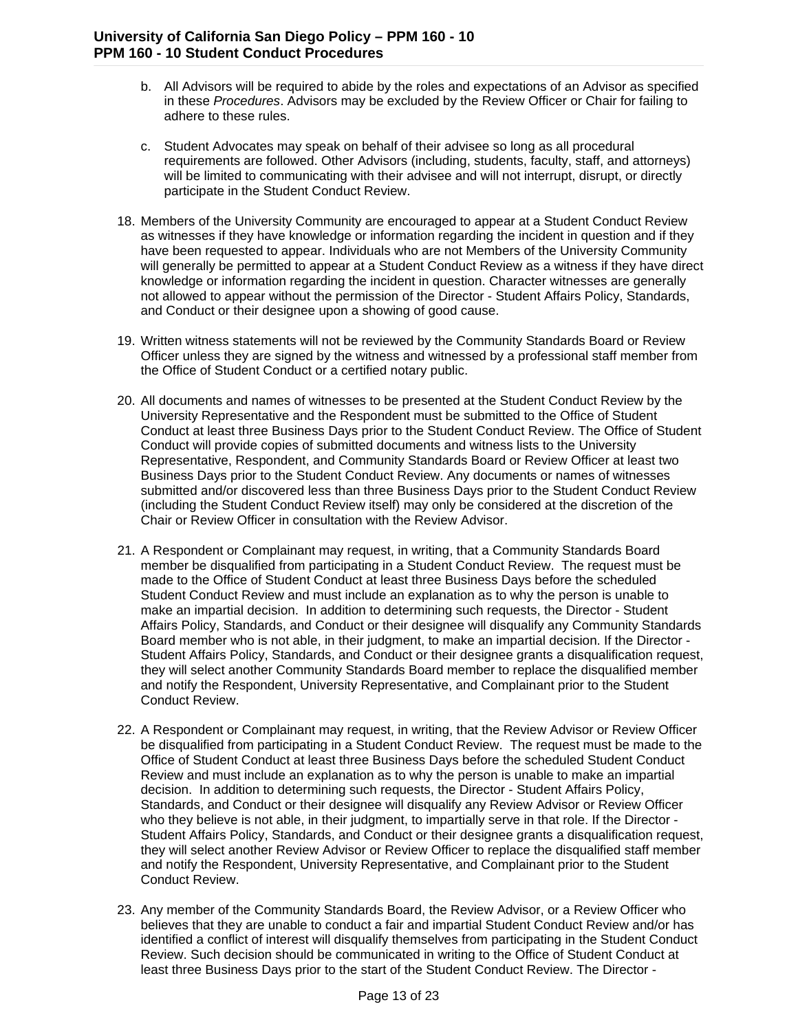- b. All Advisors will be required to abide by the roles and expectations of an Advisor as specified in these *Procedures*. Advisors may be excluded by the Review Officer or Chair for failing to adhere to these rules.
- c. Student Advocates may speak on behalf of their advisee so long as all procedural requirements are followed. Other Advisors (including, students, faculty, staff, and attorneys) will be limited to communicating with their advisee and will not interrupt, disrupt, or directly participate in the Student Conduct Review.
- 18. Members of the University Community are encouraged to appear at a Student Conduct Review as witnesses if they have knowledge or information regarding the incident in question and if they have been requested to appear. Individuals who are not Members of the University Community will generally be permitted to appear at a Student Conduct Review as a witness if they have direct knowledge or information regarding the incident in question. Character witnesses are generally not allowed to appear without the permission of the Director - Student Affairs Policy, Standards, and Conduct or their designee upon a showing of good cause.
- 19. Written witness statements will not be reviewed by the Community Standards Board or Review Officer unless they are signed by the witness and witnessed by a professional staff member from the Office of Student Conduct or a certified notary public.
- 20. All documents and names of witnesses to be presented at the Student Conduct Review by the University Representative and the Respondent must be submitted to the Office of Student Conduct at least three Business Days prior to the Student Conduct Review. The Office of Student Conduct will provide copies of submitted documents and witness lists to the University Representative, Respondent, and Community Standards Board or Review Officer at least two Business Days prior to the Student Conduct Review. Any documents or names of witnesses submitted and/or discovered less than three Business Days prior to the Student Conduct Review (including the Student Conduct Review itself) may only be considered at the discretion of the Chair or Review Officer in consultation with the Review Advisor.
- 21. A Respondent or Complainant may request, in writing, that a Community Standards Board member be disqualified from participating in a Student Conduct Review. The request must be made to the Office of Student Conduct at least three Business Days before the scheduled Student Conduct Review and must include an explanation as to why the person is unable to make an impartial decision. In addition to determining such requests, the Director - Student Affairs Policy, Standards, and Conduct or their designee will disqualify any Community Standards Board member who is not able, in their judgment, to make an impartial decision. If the Director - Student Affairs Policy, Standards, and Conduct or their designee grants a disqualification request, they will select another Community Standards Board member to replace the disqualified member and notify the Respondent, University Representative, and Complainant prior to the Student Conduct Review.
- 22. A Respondent or Complainant may request, in writing, that the Review Advisor or Review Officer be disqualified from participating in a Student Conduct Review. The request must be made to the Office of Student Conduct at least three Business Days before the scheduled Student Conduct Review and must include an explanation as to why the person is unable to make an impartial decision. In addition to determining such requests, the Director - Student Affairs Policy, Standards, and Conduct or their designee will disqualify any Review Advisor or Review Officer who they believe is not able, in their judgment, to impartially serve in that role. If the Director -Student Affairs Policy, Standards, and Conduct or their designee grants a disqualification request, they will select another Review Advisor or Review Officer to replace the disqualified staff member and notify the Respondent, University Representative, and Complainant prior to the Student Conduct Review.
- 23. Any member of the Community Standards Board, the Review Advisor, or a Review Officer who believes that they are unable to conduct a fair and impartial Student Conduct Review and/or has identified a conflict of interest will disqualify themselves from participating in the Student Conduct Review. Such decision should be communicated in writing to the Office of Student Conduct at least three Business Days prior to the start of the Student Conduct Review. The Director -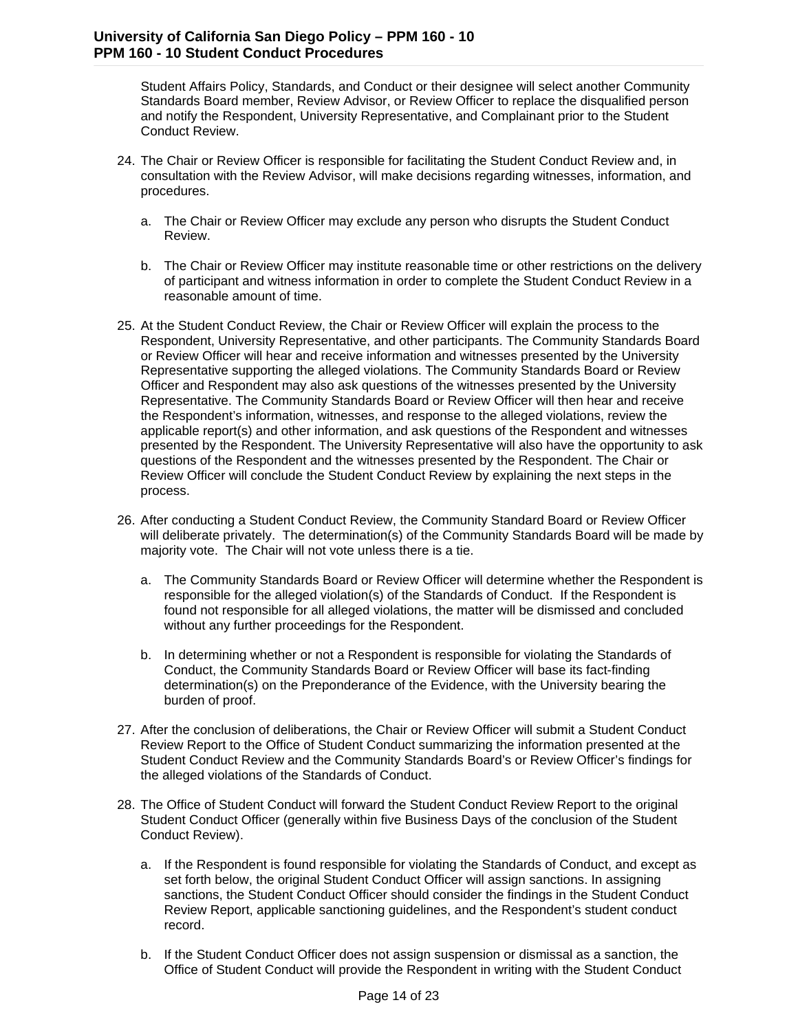Student Affairs Policy, Standards, and Conduct or their designee will select another Community Standards Board member, Review Advisor, or Review Officer to replace the disqualified person and notify the Respondent, University Representative, and Complainant prior to the Student Conduct Review.

- 24. The Chair or Review Officer is responsible for facilitating the Student Conduct Review and, in consultation with the Review Advisor, will make decisions regarding witnesses, information, and procedures.
	- a. The Chair or Review Officer may exclude any person who disrupts the Student Conduct Review.
	- b. The Chair or Review Officer may institute reasonable time or other restrictions on the delivery of participant and witness information in order to complete the Student Conduct Review in a reasonable amount of time.
- 25. At the Student Conduct Review, the Chair or Review Officer will explain the process to the Respondent, University Representative, and other participants. The Community Standards Board or Review Officer will hear and receive information and witnesses presented by the University Representative supporting the alleged violations. The Community Standards Board or Review Officer and Respondent may also ask questions of the witnesses presented by the University Representative. The Community Standards Board or Review Officer will then hear and receive the Respondent's information, witnesses, and response to the alleged violations, review the applicable report(s) and other information, and ask questions of the Respondent and witnesses presented by the Respondent. The University Representative will also have the opportunity to ask questions of the Respondent and the witnesses presented by the Respondent. The Chair or Review Officer will conclude the Student Conduct Review by explaining the next steps in the process.
- 26. After conducting a Student Conduct Review, the Community Standard Board or Review Officer will deliberate privately. The determination(s) of the Community Standards Board will be made by majority vote. The Chair will not vote unless there is a tie.
	- a. The Community Standards Board or Review Officer will determine whether the Respondent is responsible for the alleged violation(s) of the Standards of Conduct. If the Respondent is found not responsible for all alleged violations, the matter will be dismissed and concluded without any further proceedings for the Respondent.
	- b. In determining whether or not a Respondent is responsible for violating the Standards of Conduct, the Community Standards Board or Review Officer will base its fact-finding determination(s) on the Preponderance of the Evidence, with the University bearing the burden of proof.
- 27. After the conclusion of deliberations, the Chair or Review Officer will submit a Student Conduct Review Report to the Office of Student Conduct summarizing the information presented at the Student Conduct Review and the Community Standards Board's or Review Officer's findings for the alleged violations of the Standards of Conduct.
- 28. The Office of Student Conduct will forward the Student Conduct Review Report to the original Student Conduct Officer (generally within five Business Days of the conclusion of the Student Conduct Review).
	- a. If the Respondent is found responsible for violating the Standards of Conduct, and except as set forth below, the original Student Conduct Officer will assign sanctions. In assigning sanctions, the Student Conduct Officer should consider the findings in the Student Conduct Review Report, applicable sanctioning guidelines, and the Respondent's student conduct record.
	- b. If the Student Conduct Officer does not assign suspension or dismissal as a sanction, the Office of Student Conduct will provide the Respondent in writing with the Student Conduct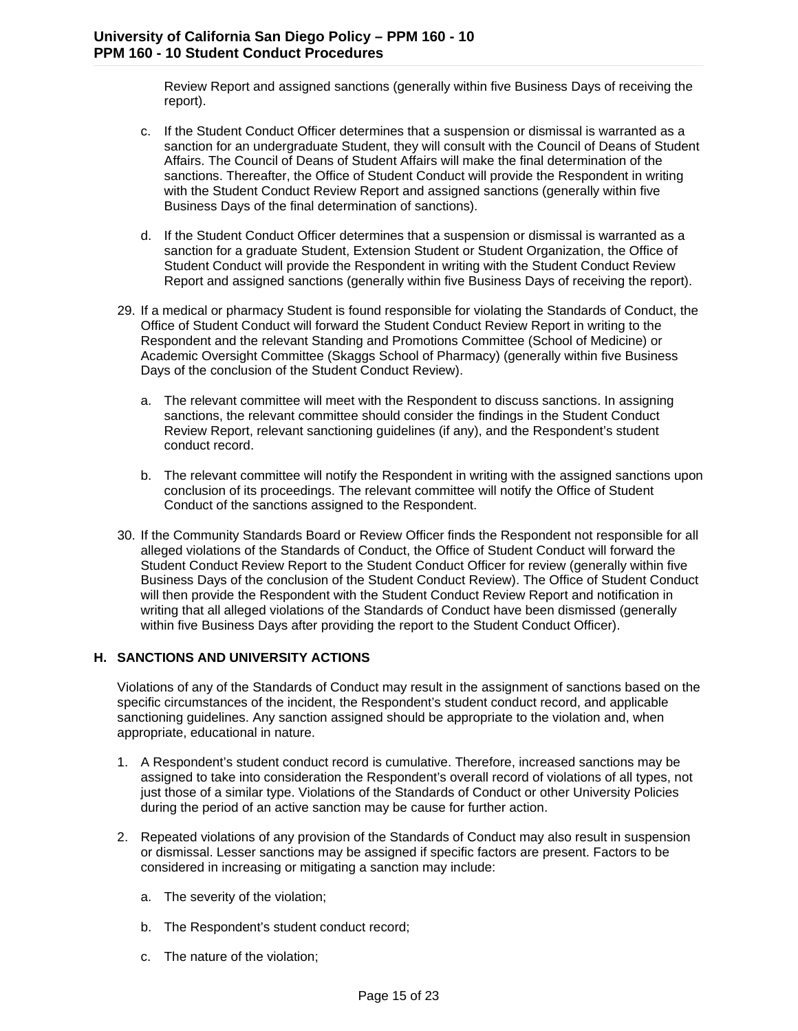Review Report and assigned sanctions (generally within five Business Days of receiving the report).

- c. If the Student Conduct Officer determines that a suspension or dismissal is warranted as a sanction for an undergraduate Student, they will consult with the Council of Deans of Student Affairs. The Council of Deans of Student Affairs will make the final determination of the sanctions. Thereafter, the Office of Student Conduct will provide the Respondent in writing with the Student Conduct Review Report and assigned sanctions (generally within five Business Days of the final determination of sanctions).
- d. If the Student Conduct Officer determines that a suspension or dismissal is warranted as a sanction for a graduate Student, Extension Student or Student Organization, the Office of Student Conduct will provide the Respondent in writing with the Student Conduct Review Report and assigned sanctions (generally within five Business Days of receiving the report).
- 29. If a medical or pharmacy Student is found responsible for violating the Standards of Conduct, the Office of Student Conduct will forward the Student Conduct Review Report in writing to the Respondent and the relevant Standing and Promotions Committee (School of Medicine) or Academic Oversight Committee (Skaggs School of Pharmacy) (generally within five Business Days of the conclusion of the Student Conduct Review).
	- a. The relevant committee will meet with the Respondent to discuss sanctions. In assigning sanctions, the relevant committee should consider the findings in the Student Conduct Review Report, relevant sanctioning guidelines (if any), and the Respondent's student conduct record.
	- b. The relevant committee will notify the Respondent in writing with the assigned sanctions upon conclusion of its proceedings. The relevant committee will notify the Office of Student Conduct of the sanctions assigned to the Respondent.
- 30. If the Community Standards Board or Review Officer finds the Respondent not responsible for all alleged violations of the Standards of Conduct, the Office of Student Conduct will forward the Student Conduct Review Report to the Student Conduct Officer for review (generally within five Business Days of the conclusion of the Student Conduct Review). The Office of Student Conduct will then provide the Respondent with the Student Conduct Review Report and notification in writing that all alleged violations of the Standards of Conduct have been dismissed (generally within five Business Days after providing the report to the Student Conduct Officer).

#### **H. SANCTIONS AND UNIVERSITY ACTIONS**

Violations of any of the Standards of Conduct may result in the assignment of sanctions based on the specific circumstances of the incident, the Respondent's student conduct record, and applicable sanctioning guidelines. Any sanction assigned should be appropriate to the violation and, when appropriate, educational in nature.

- 1. A Respondent's student conduct record is cumulative. Therefore, increased sanctions may be assigned to take into consideration the Respondent's overall record of violations of all types, not just those of a similar type. Violations of the Standards of Conduct or other University Policies during the period of an active sanction may be cause for further action.
- 2. Repeated violations of any provision of the Standards of Conduct may also result in suspension or dismissal. Lesser sanctions may be assigned if specific factors are present. Factors to be considered in increasing or mitigating a sanction may include:
	- a. The severity of the violation;
	- b. The Respondent's student conduct record;
	- c. The nature of the violation;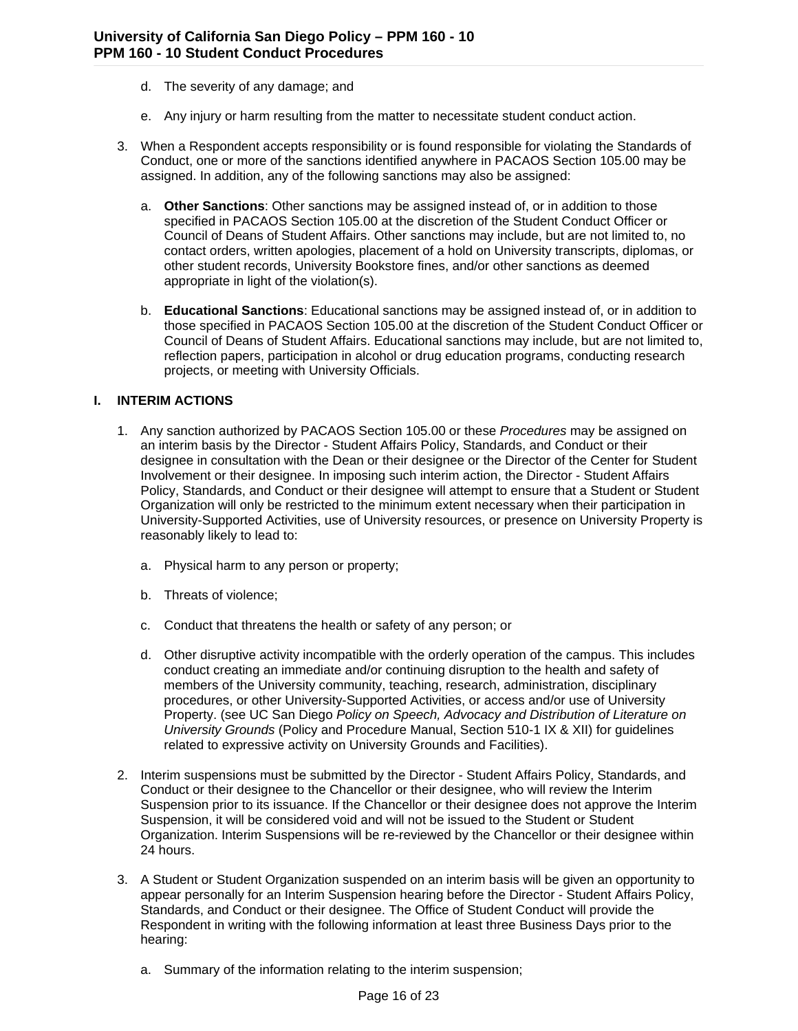- d. The severity of any damage; and
- e. Any injury or harm resulting from the matter to necessitate student conduct action.
- 3. When a Respondent accepts responsibility or is found responsible for violating the Standards of Conduct, one or more of the sanctions identified anywhere in PACAOS Section 105.00 may be assigned. In addition, any of the following sanctions may also be assigned:
	- a. **Other Sanctions**: Other sanctions may be assigned instead of, or in addition to those specified in PACAOS Section 105.00 at the discretion of the Student Conduct Officer or Council of Deans of Student Affairs. Other sanctions may include, but are not limited to, no contact orders, written apologies, placement of a hold on University transcripts, diplomas, or other student records, University Bookstore fines, and/or other sanctions as deemed appropriate in light of the violation(s).
	- b. **Educational Sanctions**: Educational sanctions may be assigned instead of, or in addition to those specified in PACAOS Section 105.00 at the discretion of the Student Conduct Officer or Council of Deans of Student Affairs. Educational sanctions may include, but are not limited to, reflection papers, participation in alcohol or drug education programs, conducting research projects, or meeting with University Officials.

#### **I. INTERIM ACTIONS**

- 1. Any sanction authorized by PACAOS Section 105.00 or these *Procedures* may be assigned on an interim basis by the Director - Student Affairs Policy, Standards, and Conduct or their designee in consultation with the Dean or their designee or the Director of the Center for Student Involvement or their designee. In imposing such interim action, the Director - Student Affairs Policy, Standards, and Conduct or their designee will attempt to ensure that a Student or Student Organization will only be restricted to the minimum extent necessary when their participation in University-Supported Activities, use of University resources, or presence on University Property is reasonably likely to lead to:
	- a. Physical harm to any person or property;
	- b. Threats of violence;
	- c. Conduct that threatens the health or safety of any person; or
	- d. Other disruptive activity incompatible with the orderly operation of the campus. This includes conduct creating an immediate and/or continuing disruption to the health and safety of members of the University community, teaching, research, administration, disciplinary procedures, or other University-Supported Activities, or access and/or use of University Property. (see UC San Diego *Policy on Speech, Advocacy and Distribution of Literature on University Grounds* (Policy and Procedure Manual, Section 510-1 IX & XII) for guidelines related to expressive activity on University Grounds and Facilities).
- 2. Interim suspensions must be submitted by the Director Student Affairs Policy, Standards, and Conduct or their designee to the Chancellor or their designee, who will review the Interim Suspension prior to its issuance. If the Chancellor or their designee does not approve the Interim Suspension, it will be considered void and will not be issued to the Student or Student Organization. Interim Suspensions will be re-reviewed by the Chancellor or their designee within 24 hours.
- 3. A Student or Student Organization suspended on an interim basis will be given an opportunity to appear personally for an Interim Suspension hearing before the Director - Student Affairs Policy, Standards, and Conduct or their designee. The Office of Student Conduct will provide the Respondent in writing with the following information at least three Business Days prior to the hearing:
	- a. Summary of the information relating to the interim suspension;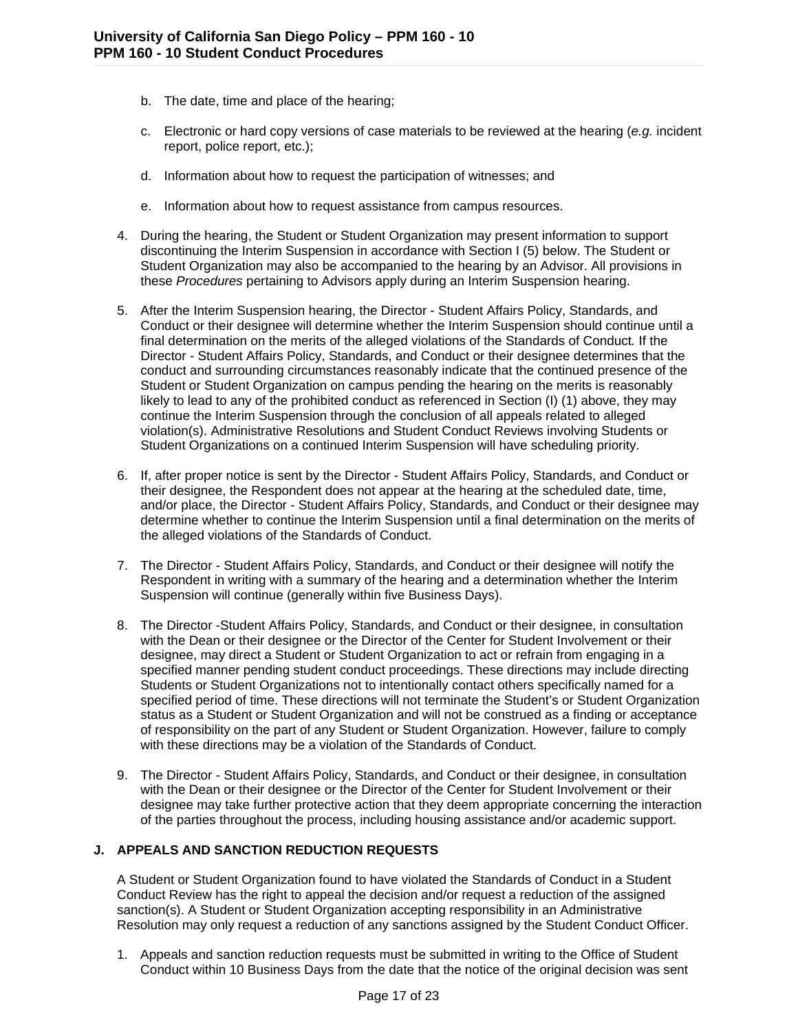- b. The date, time and place of the hearing;
- c. Electronic or hard copy versions of case materials to be reviewed at the hearing (*e.g.* incident report, police report, etc.);
- d. Information about how to request the participation of witnesses; and
- e. Information about how to request assistance from campus resources.
- 4. During the hearing, the Student or Student Organization may present information to support discontinuing the Interim Suspension in accordance with Section I (5) below. The Student or Student Organization may also be accompanied to the hearing by an Advisor. All provisions in these *Procedures* pertaining to Advisors apply during an Interim Suspension hearing.
- 5. After the Interim Suspension hearing, the Director Student Affairs Policy, Standards, and Conduct or their designee will determine whether the Interim Suspension should continue until a final determination on the merits of the alleged violations of the Standards of Conduct*.* If the Director - Student Affairs Policy, Standards, and Conduct or their designee determines that the conduct and surrounding circumstances reasonably indicate that the continued presence of the Student or Student Organization on campus pending the hearing on the merits is reasonably likely to lead to any of the prohibited conduct as referenced in Section (I) (1) above, they may continue the Interim Suspension through the conclusion of all appeals related to alleged violation(s). Administrative Resolutions and Student Conduct Reviews involving Students or Student Organizations on a continued Interim Suspension will have scheduling priority.
- 6. If, after proper notice is sent by the Director Student Affairs Policy, Standards, and Conduct or their designee, the Respondent does not appear at the hearing at the scheduled date, time, and/or place, the Director - Student Affairs Policy, Standards, and Conduct or their designee may determine whether to continue the Interim Suspension until a final determination on the merits of the alleged violations of the Standards of Conduct.
- 7. The Director Student Affairs Policy, Standards, and Conduct or their designee will notify the Respondent in writing with a summary of the hearing and a determination whether the Interim Suspension will continue (generally within five Business Days).
- 8. The Director -Student Affairs Policy, Standards, and Conduct or their designee, in consultation with the Dean or their designee or the Director of the Center for Student Involvement or their designee, may direct a Student or Student Organization to act or refrain from engaging in a specified manner pending student conduct proceedings. These directions may include directing Students or Student Organizations not to intentionally contact others specifically named for a specified period of time. These directions will not terminate the Student's or Student Organization status as a Student or Student Organization and will not be construed as a finding or acceptance of responsibility on the part of any Student or Student Organization. However, failure to comply with these directions may be a violation of the Standards of Conduct.
- 9. The Director Student Affairs Policy, Standards, and Conduct or their designee, in consultation with the Dean or their designee or the Director of the Center for Student Involvement or their designee may take further protective action that they deem appropriate concerning the interaction of the parties throughout the process, including housing assistance and/or academic support.

#### **J. APPEALS AND SANCTION REDUCTION REQUESTS**

A Student or Student Organization found to have violated the Standards of Conduct in a Student Conduct Review has the right to appeal the decision and/or request a reduction of the assigned sanction(s). A Student or Student Organization accepting responsibility in an Administrative Resolution may only request a reduction of any sanctions assigned by the Student Conduct Officer.

1. Appeals and sanction reduction requests must be submitted in writing to the Office of Student Conduct within 10 Business Days from the date that the notice of the original decision was sent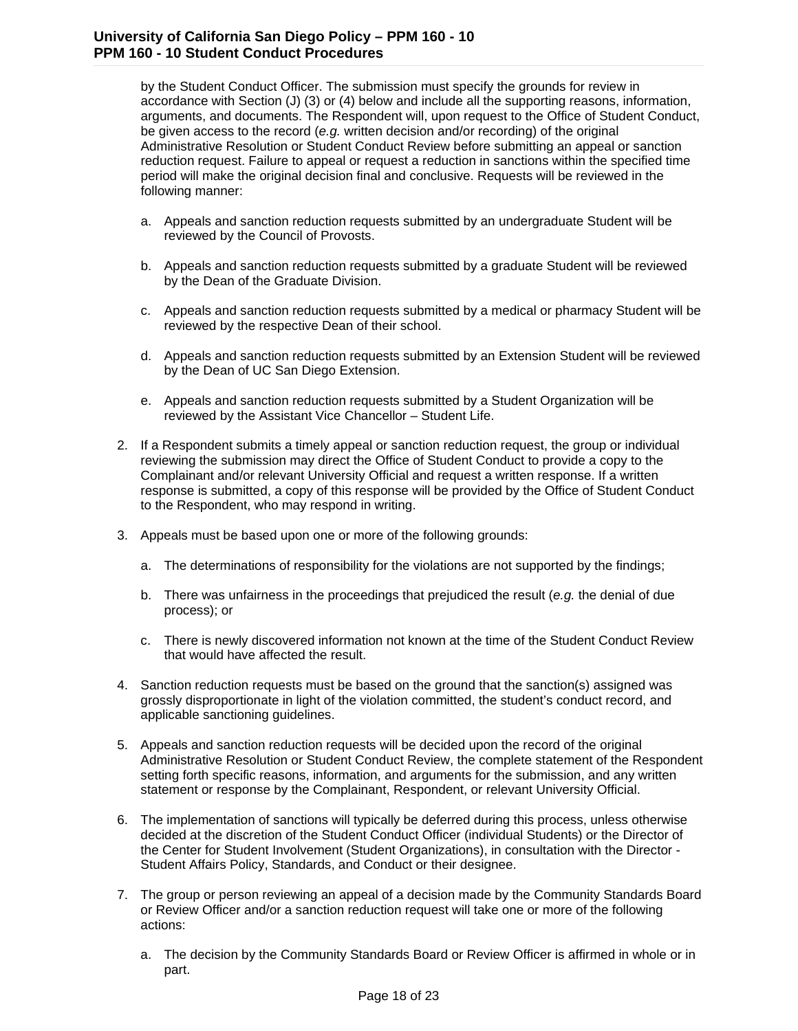by the Student Conduct Officer. The submission must specify the grounds for review in accordance with Section (J) (3) or (4) below and include all the supporting reasons, information, arguments, and documents. The Respondent will, upon request to the Office of Student Conduct, be given access to the record (*e.g.* written decision and/or recording) of the original Administrative Resolution or Student Conduct Review before submitting an appeal or sanction reduction request. Failure to appeal or request a reduction in sanctions within the specified time period will make the original decision final and conclusive. Requests will be reviewed in the following manner:

- a. Appeals and sanction reduction requests submitted by an undergraduate Student will be reviewed by the Council of Provosts.
- b. Appeals and sanction reduction requests submitted by a graduate Student will be reviewed by the Dean of the Graduate Division.
- c. Appeals and sanction reduction requests submitted by a medical or pharmacy Student will be reviewed by the respective Dean of their school.
- d. Appeals and sanction reduction requests submitted by an Extension Student will be reviewed by the Dean of UC San Diego Extension.
- e. Appeals and sanction reduction requests submitted by a Student Organization will be reviewed by the Assistant Vice Chancellor – Student Life.
- 2. If a Respondent submits a timely appeal or sanction reduction request, the group or individual reviewing the submission may direct the Office of Student Conduct to provide a copy to the Complainant and/or relevant University Official and request a written response. If a written response is submitted, a copy of this response will be provided by the Office of Student Conduct to the Respondent, who may respond in writing.
- 3. Appeals must be based upon one or more of the following grounds:
	- a. The determinations of responsibility for the violations are not supported by the findings;
	- b. There was unfairness in the proceedings that prejudiced the result (*e.g.* the denial of due process); or
	- c. There is newly discovered information not known at the time of the Student Conduct Review that would have affected the result.
- 4. Sanction reduction requests must be based on the ground that the sanction(s) assigned was grossly disproportionate in light of the violation committed, the student's conduct record, and applicable sanctioning guidelines.
- 5. Appeals and sanction reduction requests will be decided upon the record of the original Administrative Resolution or Student Conduct Review, the complete statement of the Respondent setting forth specific reasons, information, and arguments for the submission, and any written statement or response by the Complainant, Respondent, or relevant University Official.
- 6. The implementation of sanctions will typically be deferred during this process, unless otherwise decided at the discretion of the Student Conduct Officer (individual Students) or the Director of the Center for Student Involvement (Student Organizations), in consultation with the Director - Student Affairs Policy, Standards, and Conduct or their designee.
- 7. The group or person reviewing an appeal of a decision made by the Community Standards Board or Review Officer and/or a sanction reduction request will take one or more of the following actions:
	- a. The decision by the Community Standards Board or Review Officer is affirmed in whole or in part.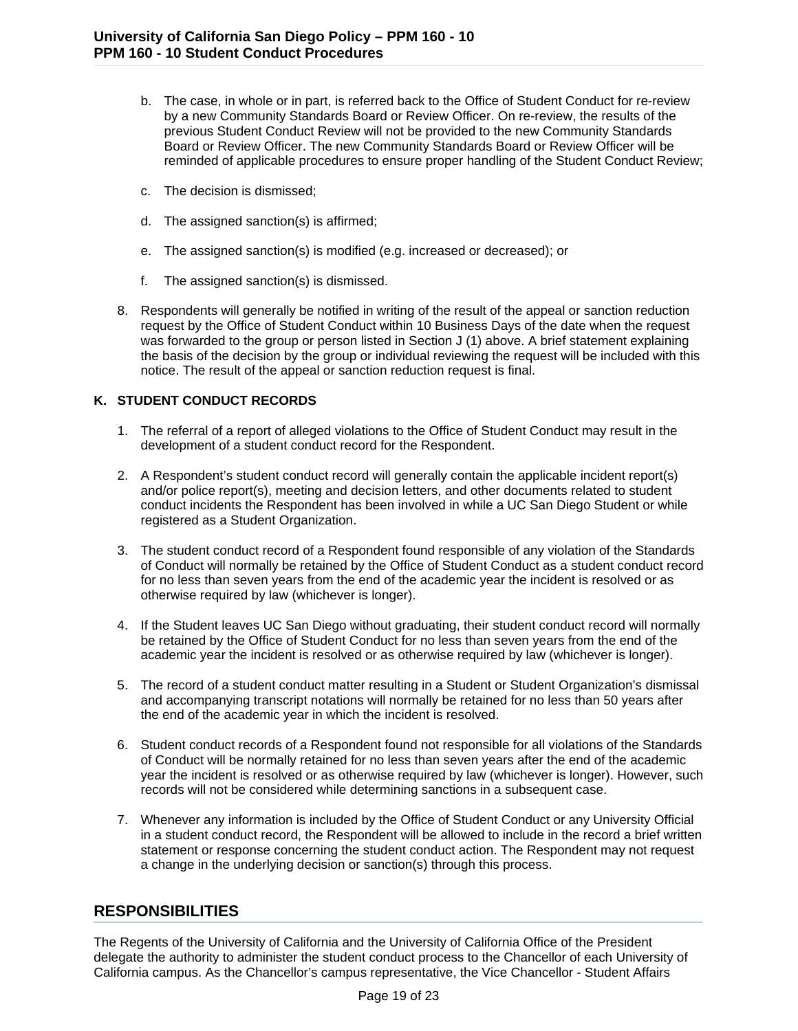- b. The case, in whole or in part, is referred back to the Office of Student Conduct for re-review by a new Community Standards Board or Review Officer. On re-review, the results of the previous Student Conduct Review will not be provided to the new Community Standards Board or Review Officer. The new Community Standards Board or Review Officer will be reminded of applicable procedures to ensure proper handling of the Student Conduct Review;
- c. The decision is dismissed;
- d. The assigned sanction(s) is affirmed;
- e. The assigned sanction(s) is modified (e.g. increased or decreased); or
- f. The assigned sanction(s) is dismissed.
- 8. Respondents will generally be notified in writing of the result of the appeal or sanction reduction request by the Office of Student Conduct within 10 Business Days of the date when the request was forwarded to the group or person listed in Section J (1) above. A brief statement explaining the basis of the decision by the group or individual reviewing the request will be included with this notice. The result of the appeal or sanction reduction request is final.

#### **K. STUDENT CONDUCT RECORDS**

- 1. The referral of a report of alleged violations to the Office of Student Conduct may result in the development of a student conduct record for the Respondent.
- 2. A Respondent's student conduct record will generally contain the applicable incident report(s) and/or police report(s), meeting and decision letters, and other documents related to student conduct incidents the Respondent has been involved in while a UC San Diego Student or while registered as a Student Organization.
- 3. The student conduct record of a Respondent found responsible of any violation of the Standards of Conduct will normally be retained by the Office of Student Conduct as a student conduct record for no less than seven years from the end of the academic year the incident is resolved or as otherwise required by law (whichever is longer).
- 4. If the Student leaves UC San Diego without graduating, their student conduct record will normally be retained by the Office of Student Conduct for no less than seven years from the end of the academic year the incident is resolved or as otherwise required by law (whichever is longer).
- 5. The record of a student conduct matter resulting in a Student or Student Organization's dismissal and accompanying transcript notations will normally be retained for no less than 50 years after the end of the academic year in which the incident is resolved.
- 6. Student conduct records of a Respondent found not responsible for all violations of the Standards of Conduct will be normally retained for no less than seven years after the end of the academic year the incident is resolved or as otherwise required by law (whichever is longer). However, such records will not be considered while determining sanctions in a subsequent case.
- 7. Whenever any information is included by the Office of Student Conduct or any University Official in a student conduct record, the Respondent will be allowed to include in the record a brief written statement or response concerning the student conduct action. The Respondent may not request a change in the underlying decision or sanction(s) through this process.

## **RESPONSIBILITIES**

The Regents of the University of California and the University of California Office of the President delegate the authority to administer the student conduct process to the Chancellor of each University of California campus. As the Chancellor's campus representative, the Vice Chancellor - Student Affairs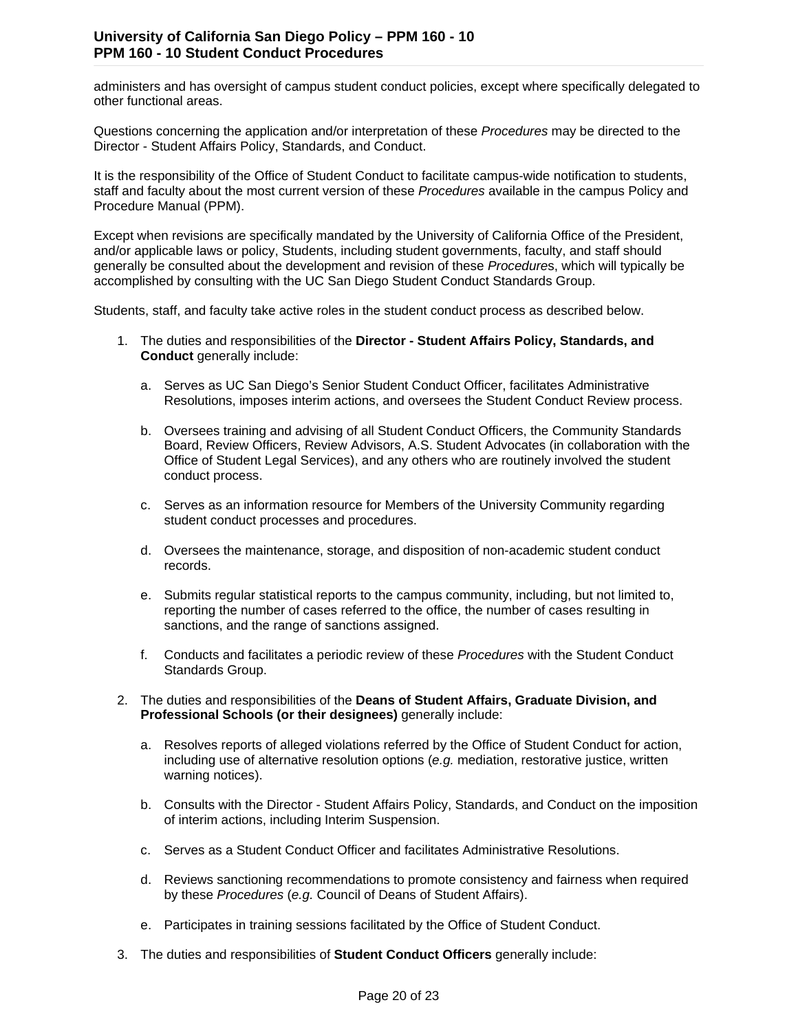administers and has oversight of campus student conduct policies, except where specifically delegated to other functional areas.

Questions concerning the application and/or interpretation of these *Procedures* may be directed to the Director - Student Affairs Policy, Standards, and Conduct.

It is the responsibility of the Office of Student Conduct to facilitate campus-wide notification to students, staff and faculty about the most current version of these *Procedures* available in the campus Policy and Procedure Manual (PPM).

Except when revisions are specifically mandated by the University of California Office of the President, and/or applicable laws or policy, Students, including student governments, faculty, and staff should generally be consulted about the development and revision of these *Procedure*s, which will typically be accomplished by consulting with the UC San Diego Student Conduct Standards Group.

Students, staff, and faculty take active roles in the student conduct process as described below.

- 1. The duties and responsibilities of the **Director - Student Affairs Policy, Standards, and Conduct** generally include:
	- a. Serves as UC San Diego's Senior Student Conduct Officer, facilitates Administrative Resolutions, imposes interim actions, and oversees the Student Conduct Review process.
	- b. Oversees training and advising of all Student Conduct Officers, the Community Standards Board, Review Officers, Review Advisors, A.S. Student Advocates (in collaboration with the Office of Student Legal Services), and any others who are routinely involved the student conduct process.
	- c. Serves as an information resource for Members of the University Community regarding student conduct processes and procedures.
	- d. Oversees the maintenance, storage, and disposition of non-academic student conduct records.
	- e. Submits regular statistical reports to the campus community, including, but not limited to, reporting the number of cases referred to the office, the number of cases resulting in sanctions, and the range of sanctions assigned.
	- f. Conducts and facilitates a periodic review of these *Procedures* with the Student Conduct Standards Group.
- 2. The duties and responsibilities of the **Deans of Student Affairs, Graduate Division, and Professional Schools (or their designees)** generally include:
	- a. Resolves reports of alleged violations referred by the Office of Student Conduct for action, including use of alternative resolution options (*e.g.* mediation, restorative justice, written warning notices).
	- b. Consults with the Director Student Affairs Policy, Standards, and Conduct on the imposition of interim actions, including Interim Suspension.
	- c. Serves as a Student Conduct Officer and facilitates Administrative Resolutions.
	- d. Reviews sanctioning recommendations to promote consistency and fairness when required by these *Procedures* (*e.g.* Council of Deans of Student Affairs).
	- e. Participates in training sessions facilitated by the Office of Student Conduct.
- 3. The duties and responsibilities of **Student Conduct Officers** generally include: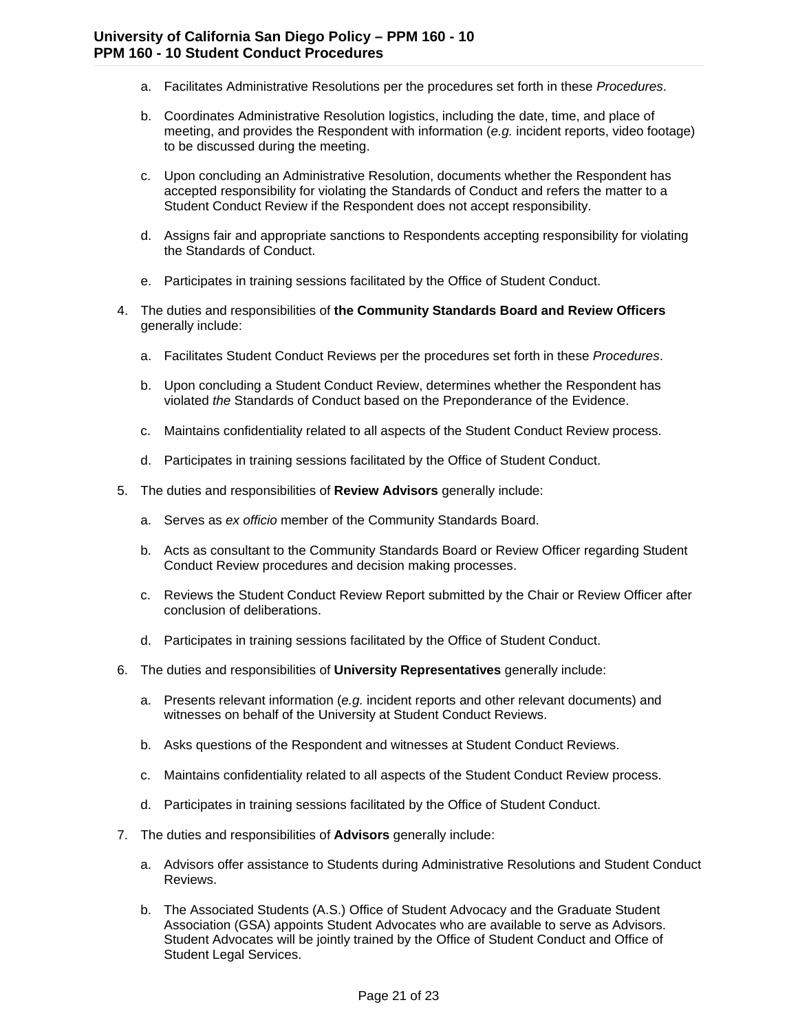- a. Facilitates Administrative Resolutions per the procedures set forth in these *Procedures*.
- b. Coordinates Administrative Resolution logistics, including the date, time, and place of meeting, and provides the Respondent with information (*e.g.* incident reports, video footage) to be discussed during the meeting.
- c. Upon concluding an Administrative Resolution, documents whether the Respondent has accepted responsibility for violating the Standards of Conduct and refers the matter to a Student Conduct Review if the Respondent does not accept responsibility.
- d. Assigns fair and appropriate sanctions to Respondents accepting responsibility for violating the Standards of Conduct.
- e. Participates in training sessions facilitated by the Office of Student Conduct.
- 4. The duties and responsibilities of **the Community Standards Board and Review Officers** generally include:
	- a. Facilitates Student Conduct Reviews per the procedures set forth in these *Procedures*.
	- b. Upon concluding a Student Conduct Review, determines whether the Respondent has violated *the* Standards of Conduct based on the Preponderance of the Evidence.
	- c. Maintains confidentiality related to all aspects of the Student Conduct Review process.
	- d. Participates in training sessions facilitated by the Office of Student Conduct.
- 5. The duties and responsibilities of **Review Advisors** generally include:
	- a. Serves as *ex officio* member of the Community Standards Board.
	- b. Acts as consultant to the Community Standards Board or Review Officer regarding Student Conduct Review procedures and decision making processes.
	- c. Reviews the Student Conduct Review Report submitted by the Chair or Review Officer after conclusion of deliberations.
	- d. Participates in training sessions facilitated by the Office of Student Conduct.
- 6. The duties and responsibilities of **University Representatives** generally include:
	- a. Presents relevant information (*e.g.* incident reports and other relevant documents) and witnesses on behalf of the University at Student Conduct Reviews.
	- b. Asks questions of the Respondent and witnesses at Student Conduct Reviews.
	- c. Maintains confidentiality related to all aspects of the Student Conduct Review process.
	- d. Participates in training sessions facilitated by the Office of Student Conduct.
- 7. The duties and responsibilities of **Advisors** generally include:
	- a. Advisors offer assistance to Students during Administrative Resolutions and Student Conduct Reviews.
	- b. The Associated Students (A.S.) Office of Student Advocacy and the Graduate Student Association (GSA) appoints Student Advocates who are available to serve as Advisors. Student Advocates will be jointly trained by the Office of Student Conduct and Office of Student Legal Services.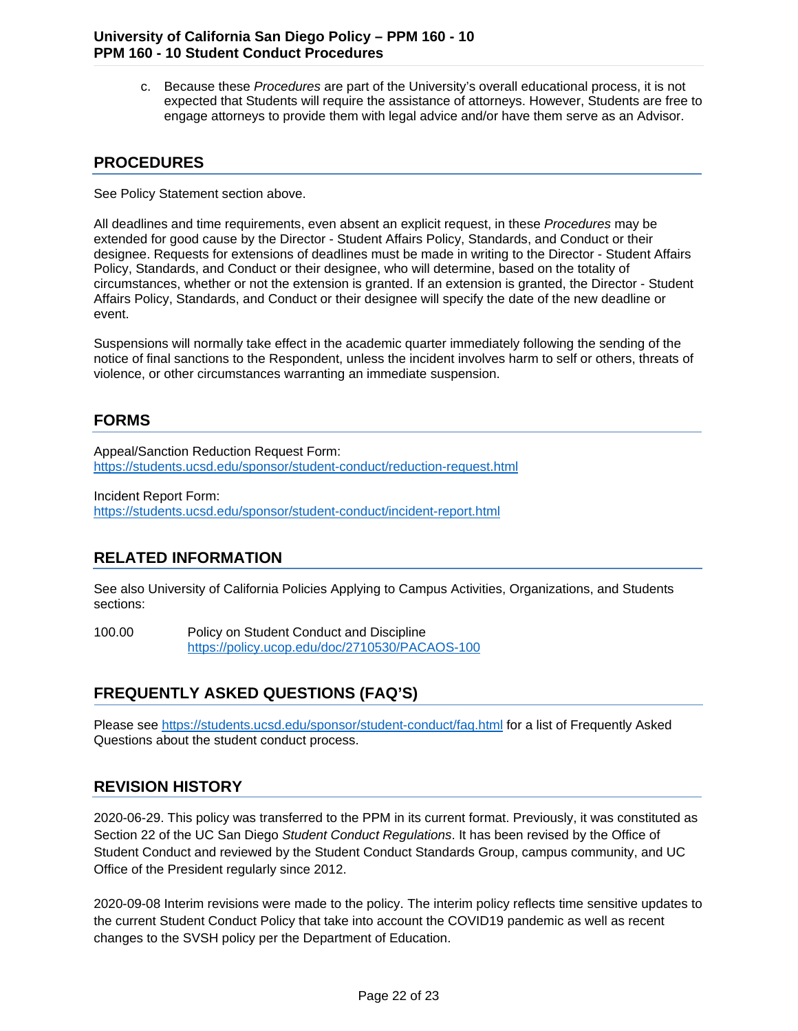c. Because these *Procedures* are part of the University's overall educational process, it is not expected that Students will require the assistance of attorneys. However, Students are free to engage attorneys to provide them with legal advice and/or have them serve as an Advisor.

### **PROCEDURES**

See Policy Statement section above.

All deadlines and time requirements, even absent an explicit request, in these *Procedures* may be extended for good cause by the Director - Student Affairs Policy, Standards, and Conduct or their designee. Requests for extensions of deadlines must be made in writing to the Director - Student Affairs Policy, Standards, and Conduct or their designee, who will determine, based on the totality of circumstances, whether or not the extension is granted. If an extension is granted, the Director - Student Affairs Policy, Standards, and Conduct or their designee will specify the date of the new deadline or event.

Suspensions will normally take effect in the academic quarter immediately following the sending of the notice of final sanctions to the Respondent, unless the incident involves harm to self or others, threats of violence, or other circumstances warranting an immediate suspension.

### **FORMS**

Appeal/Sanction Reduction Request Form: <https://students.ucsd.edu/sponsor/student-conduct/reduction-request.html>

Incident Report Form: <https://students.ucsd.edu/sponsor/student-conduct/incident-report.html>

# **RELATED INFORMATION**

See also University of California Policies Applying to Campus Activities, Organizations, and Students sections:

100.00 Policy on Student Conduct and Discipline <https://policy.ucop.edu/doc/2710530/PACAOS-100>

# **FREQUENTLY ASKED QUESTIONS (FAQ'S)**

Please see<https://students.ucsd.edu/sponsor/student-conduct/faq.html> for a list of Frequently Asked Questions about the student conduct process.

## **REVISION HISTORY**

2020-06-29. This policy was transferred to the PPM in its current format. Previously, it was constituted as Section 22 of the UC San Diego *Student Conduct Regulations*. It has been revised by the Office of Student Conduct and reviewed by the Student Conduct Standards Group, campus community, and UC Office of the President regularly since 2012.

2020-09-08 Interim revisions were made to the policy. The interim policy reflects time sensitive updates to the current Student Conduct Policy that take into account the COVID19 pandemic as well as recent changes to the SVSH policy per the Department of Education.